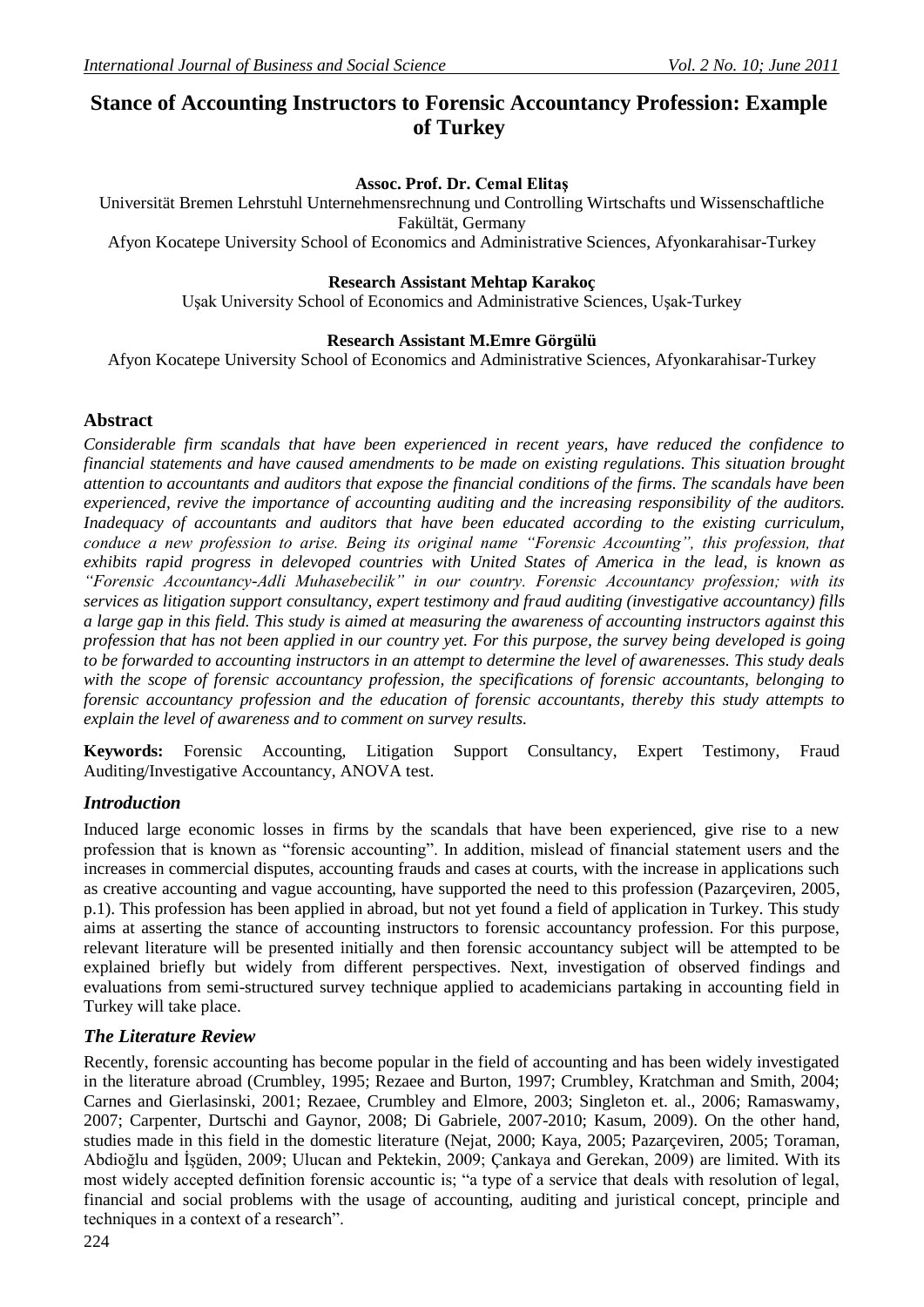# **Stance of Accounting Instructors to Forensic Accountancy Profession: Example of Turkey**

#### **Assoc. Prof. Dr. Cemal Elitaş**

Universität Bremen Lehrstuhl Unternehmensrechnung und Controlling Wirtschafts und Wissenschaftliche Fakültät, Germany

Afyon Kocatepe University [School of Economics and Administrative Sciences,](http://tureng.com/search/school%20of%20economics%20and%20administrative%20sciences) Afyonkarahisar-Turkey

#### **Research Assistant Mehtap Karakoç**

Uşak University [School of Economics and Administrative Sciences,](http://tureng.com/search/school%20of%20economics%20and%20administrative%20sciences) Uşak-Turkey

#### **Research Assistant M.Emre Görgülü**

Afyon Kocatepe University [School of Economics and Administrative Sciences,](http://tureng.com/search/school%20of%20economics%20and%20administrative%20sciences) Afyonkarahisar-Turkey

#### **Abstract**

*Considerable firm scandals that have been experienced in recent years, have reduced the confidence to financial statements and have caused amendments to be made on existing regulations. This situation brought attention to accountants and auditors that expose the financial conditions of the firms. The scandals have been experienced, revive the importance of accounting auditing and the increasing responsibility of the auditors. Inadequacy of accountants and auditors that have been educated according to the existing curriculum, conduce a new profession to arise. Being its original name "Forensic Accounting", this profession, that exhibits rapid progress in delevoped countries with United States of America in the lead, is known as "Forensic Accountancy-Adli Muhasebecilik" in our country. Forensic Accountancy profession; with its services as litigation support consultancy, expert testimony and fraud auditing (investigative accountancy) fills a large gap in this field. This study is aimed at measuring the awareness of accounting instructors against this profession that has not been applied in our country yet. For this purpose, the survey being developed is going to be forwarded to accounting instructors in an attempt to determine the level of awarenesses. This study deals with the scope of forensic accountancy profession, the specifications of forensic accountants, belonging to forensic accountancy profession and the education of forensic accountants, thereby this study attempts to explain the level of awareness and to comment on survey results.* 

**Keywords:** Forensic Accounting, Litigation Support Consultancy, Expert Testimony, Fraud Auditing/Investigative Accountancy, ANOVA test.

#### *Introduction*

Induced large economic losses in firms by the scandals that have been experienced, give rise to a new profession that is known as "forensic accounting". In addition, mislead of financial statement users and the increases in commercial disputes, accounting frauds and cases at courts, with the increase in applications such as creative accounting and vague accounting, have supported the need to this profession (Pazarçeviren, 2005, p.1). This profession has been applied in abroad, but not yet found a field of application in Turkey. This study aims at asserting the stance of accounting instructors to forensic accountancy profession. For this purpose, relevant literature will be presented initially and then forensic accountancy subject will be attempted to be explained briefly but widely from different perspectives. Next, investigation of observed findings and evaluations from semi-structured survey technique applied to academicians partaking in accounting field in Turkey will take place.

#### *The Literature Review*

Recently, forensic accounting has become popular in the field of accounting and has been widely investigated in the literature abroad (Crumbley, 1995; Rezaee and Burton, 1997; Crumbley, Kratchman and Smith, 2004; Carnes and Gierlasinski, 2001; Rezaee, Crumbley and Elmore, 2003; Singleton et. al., 2006; Ramaswamy, 2007; Carpenter, Durtschi and Gaynor, 2008; Di Gabriele, 2007-2010; Kasum, 2009). On the other hand, studies made in this field in the domestic literature (Nejat, 2000; Kaya, 2005; Pazarçeviren, 2005; Toraman, Abdioğlu and İşgüden, 2009; Ulucan and Pektekin, 2009; Çankaya and Gerekan, 2009) are limited. With its most widely accepted definition forensic accountic is; "a type of a service that deals with resolution of legal, financial and social problems with the usage of accounting, auditing and juristical concept, principle and techniques in a context of a research".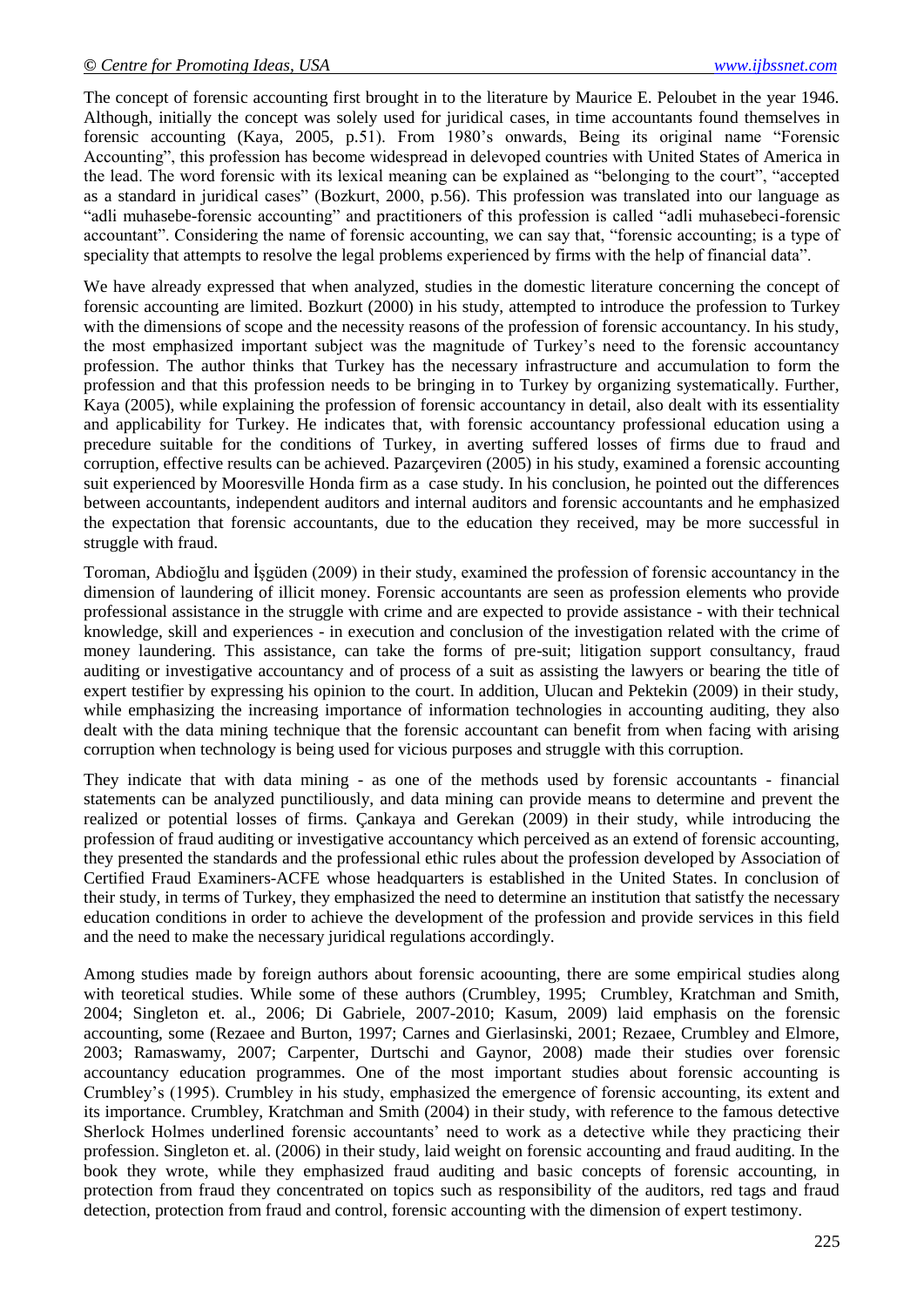The concept of forensic accounting first brought in to the literature by Maurice E. Peloubet in the year 1946. Although, initially the concept was solely used for juridical cases, in time accountants found themselves in forensic accounting (Kaya, 2005, p.51). From 1980"s onwards, Being its original name "Forensic Accounting", this profession has become widespread in delevoped countries with United States of America in the lead. The word forensic with its lexical meaning can be explained as "belonging to the court", "accepted as a standard in juridical cases" (Bozkurt, 2000, p.56). This profession was translated into our language as "adli muhasebe-forensic accounting" and practitioners of this profession is called "adli muhasebeci-forensic accountant". Considering the name of forensic accounting, we can say that, "forensic accounting; is a type of speciality that attempts to resolve the legal problems experienced by firms with the help of financial data".

We have already expressed that when analyzed, studies in the domestic literature concerning the concept of forensic accounting are limited. Bozkurt (2000) in his study, attempted to introduce the profession to Turkey with the dimensions of scope and the necessity reasons of the profession of forensic accountancy. In his study, the most emphasized important subject was the magnitude of Turkey"s need to the forensic accountancy profession. The author thinks that Turkey has the necessary infrastructure and accumulation to form the profession and that this profession needs to be bringing in to Turkey by organizing systematically. Further, Kaya (2005), while explaining the profession of forensic accountancy in detail, also dealt with its essentiality and applicability for Turkey. He indicates that, with forensic accountancy professional education using a precedure suitable for the conditions of Turkey, in averting suffered losses of firms due to fraud and corruption, effective results can be achieved. Pazarçeviren (2005) in his study, examined a forensic accounting suit experienced by Mooresville Honda firm as a case study. In his conclusion, he pointed out the differences between accountants, independent auditors and internal auditors and forensic accountants and he emphasized the expectation that forensic accountants, due to the education they received, may be more successful in struggle with fraud.

Toroman, Abdioğlu and İşgüden (2009) in their study, examined the profession of forensic accountancy in the dimension of laundering of illicit money. Forensic accountants are seen as profession elements who provide professional assistance in the struggle with crime and are expected to provide assistance - with their technical knowledge, skill and experiences - in execution and conclusion of the investigation related with the crime of money laundering. This assistance, can take the forms of pre-suit; litigation support consultancy, fraud auditing or investigative accountancy and of process of a suit as assisting the lawyers or bearing the title of expert testifier by expressing his opinion to the court. In addition, Ulucan and Pektekin (2009) in their study, while emphasizing the increasing importance of information technologies in accounting auditing, they also dealt with the data mining technique that the forensic accountant can benefit from when facing with arising corruption when technology is being used for vicious purposes and struggle with this corruption.

They indicate that with data mining - as one of the methods used by forensic accountants - financial statements can be analyzed punctiliously, and data mining can provide means to determine and prevent the realized or potential losses of firms. Çankaya and Gerekan (2009) in their study, while introducing the profession of fraud auditing or investigative accountancy which perceived as an extend of forensic accounting, they presented the standards and the professional ethic rules about the profession developed by Association of Certified Fraud Examiners-ACFE whose headquarters is established in the United States. In conclusion of their study, in terms of Turkey, they emphasized the need to determine an institution that satistfy the necessary education conditions in order to achieve the development of the profession and provide services in this field and the need to make the necessary juridical regulations accordingly.

Among studies made by foreign authors about forensic acoounting, there are some empirical studies along with teoretical studies. While some of these authors (Crumbley, 1995; Crumbley, Kratchman and Smith, 2004; Singleton et. al., 2006; Di Gabriele, 2007-2010; Kasum, 2009) laid emphasis on the forensic accounting, some (Rezaee and Burton, 1997; Carnes and Gierlasinski, 2001; Rezaee, Crumbley and Elmore, 2003; Ramaswamy, 2007; Carpenter, Durtschi and Gaynor, 2008) made their studies over forensic accountancy education programmes. One of the most important studies about forensic accounting is Crumbley"s (1995). Crumbley in his study, emphasized the emergence of forensic accounting, its extent and its importance. Crumbley, Kratchman and Smith (2004) in their study, with reference to the famous detective Sherlock Holmes underlined forensic accountants" need to work as a detective while they practicing their profession. Singleton et. al. (2006) in their study, laid weight on forensic accounting and fraud auditing. In the book they wrote, while they emphasized fraud auditing and basic concepts of forensic accounting, in protection from fraud they concentrated on topics such as responsibility of the auditors, red tags and fraud detection, protection from fraud and control, forensic accounting with the dimension of expert testimony.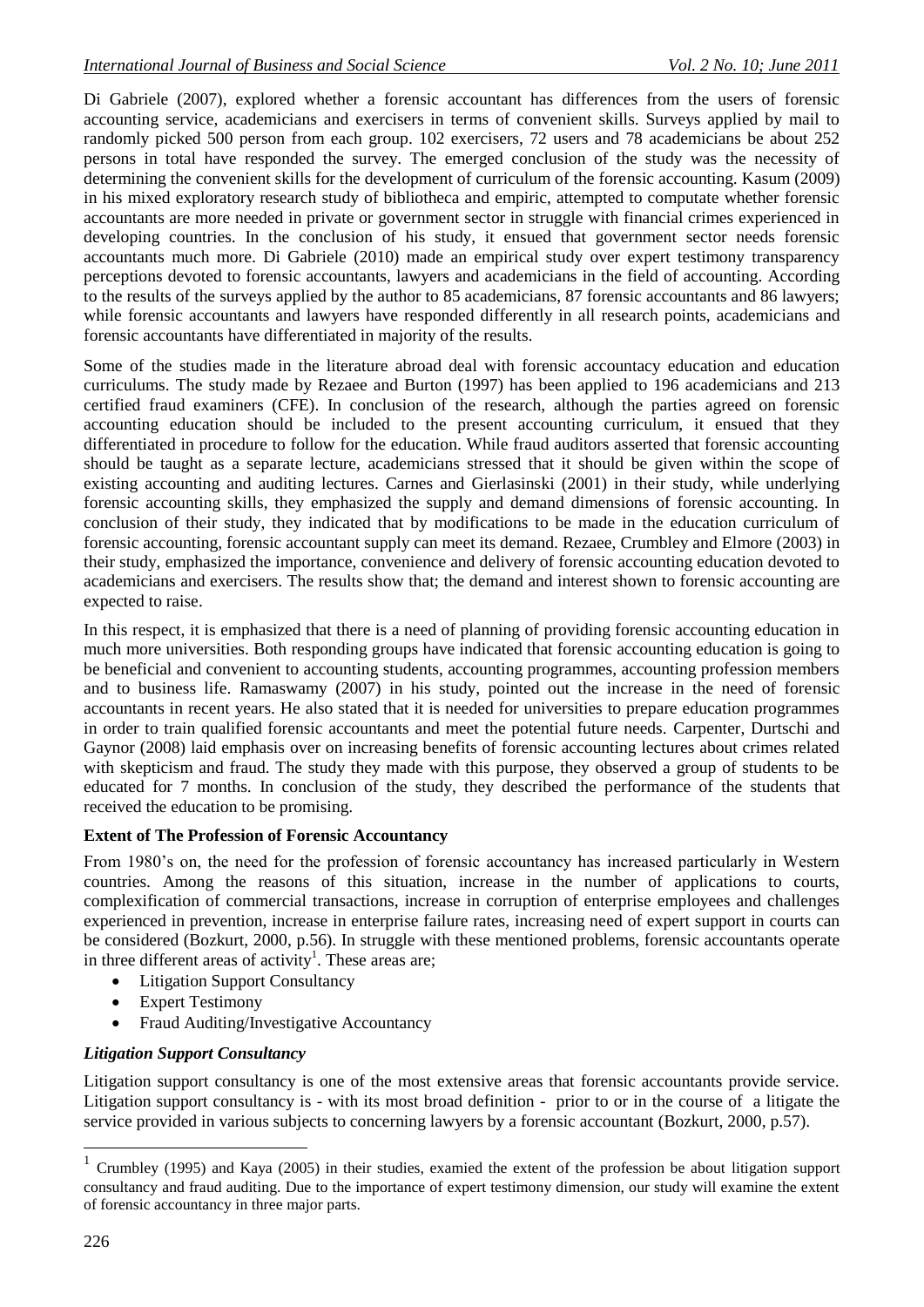Di Gabriele (2007), explored whether a forensic accountant has differences from the users of forensic accounting service, academicians and exercisers in terms of convenient skills. Surveys applied by mail to randomly picked 500 person from each group. 102 exercisers, 72 users and 78 academicians be about 252 persons in total have responded the survey. The emerged conclusion of the study was the necessity of determining the convenient skills for the development of curriculum of the forensic accounting. Kasum (2009) in his mixed exploratory research study of bibliotheca and empiric, attempted to computate whether forensic accountants are more needed in private or government sector in struggle with financial crimes experienced in developing countries. In the conclusion of his study, it ensued that government sector needs forensic accountants much more. Di Gabriele (2010) made an empirical study over expert testimony transparency perceptions devoted to forensic accountants, lawyers and academicians in the field of accounting. According to the results of the surveys applied by the author to 85 academicians, 87 forensic accountants and 86 lawyers; while forensic accountants and lawyers have responded differently in all research points, academicians and forensic accountants have differentiated in majority of the results.

Some of the studies made in the literature abroad deal with forensic accountacy education and education curriculums. The study made by Rezaee and Burton (1997) has been applied to 196 academicians and 213 certified fraud examiners (CFE). In conclusion of the research, although the parties agreed on forensic accounting education should be included to the present accounting curriculum, it ensued that they differentiated in procedure to follow for the education. While fraud auditors asserted that forensic accounting should be taught as a separate lecture, academicians stressed that it should be given within the scope of existing accounting and auditing lectures. Carnes and Gierlasinski (2001) in their study, while underlying forensic accounting skills, they emphasized the supply and demand dimensions of forensic accounting. In conclusion of their study, they indicated that by modifications to be made in the education curriculum of forensic accounting, forensic accountant supply can meet its demand. Rezaee, Crumbley and Elmore (2003) in their study, emphasized the importance, convenience and delivery of forensic accounting education devoted to academicians and exercisers. The results show that; the demand and interest shown to forensic accounting are expected to raise.

In this respect, it is emphasized that there is a need of planning of providing forensic accounting education in much more universities. Both responding groups have indicated that forensic accounting education is going to be beneficial and convenient to accounting students, accounting programmes, accounting profession members and to business life. Ramaswamy (2007) in his study, pointed out the increase in the need of forensic accountants in recent years. He also stated that it is needed for universities to prepare education programmes in order to train qualified forensic accountants and meet the potential future needs. Carpenter, Durtschi and Gaynor (2008) laid emphasis over on increasing benefits of forensic accounting lectures about crimes related with skepticism and fraud. The study they made with this purpose, they observed a group of students to be educated for 7 months. In conclusion of the study, they described the performance of the students that received the education to be promising.

## **Extent of The Profession of Forensic Accountancy**

From 1980"s on, the need for the profession of forensic accountancy has increased particularly in Western countries. Among the reasons of this situation, increase in the number of applications to courts, complexification of commercial transactions, increase in corruption of enterprise employees and challenges experienced in prevention, increase in enterprise failure rates, increasing need of expert support in courts can be considered (Bozkurt, 2000, p.56). In struggle with these mentioned problems, forensic accountants operate in three different areas of activity<sup>1</sup>. These areas are;

- Litigation Support Consultancy
- Expert Testimony
- Fraud Auditing/Investigative Accountancy

#### *Litigation Support Consultancy*

Litigation support consultancy is one of the most extensive areas that forensic accountants provide service. Litigation support consultancy is - with its most broad definition - prior to or in the course of a litigate the service provided in various subjects to concerning lawyers by a forensic accountant (Bozkurt, 2000, p.57).

1

<sup>&</sup>lt;sup>1</sup> Crumbley (1995) and Kaya (2005) in their studies, examied the extent of the profession be about litigation support consultancy and fraud auditing. Due to the importance of expert testimony dimension, our study will examine the extent of forensic accountancy in three major parts.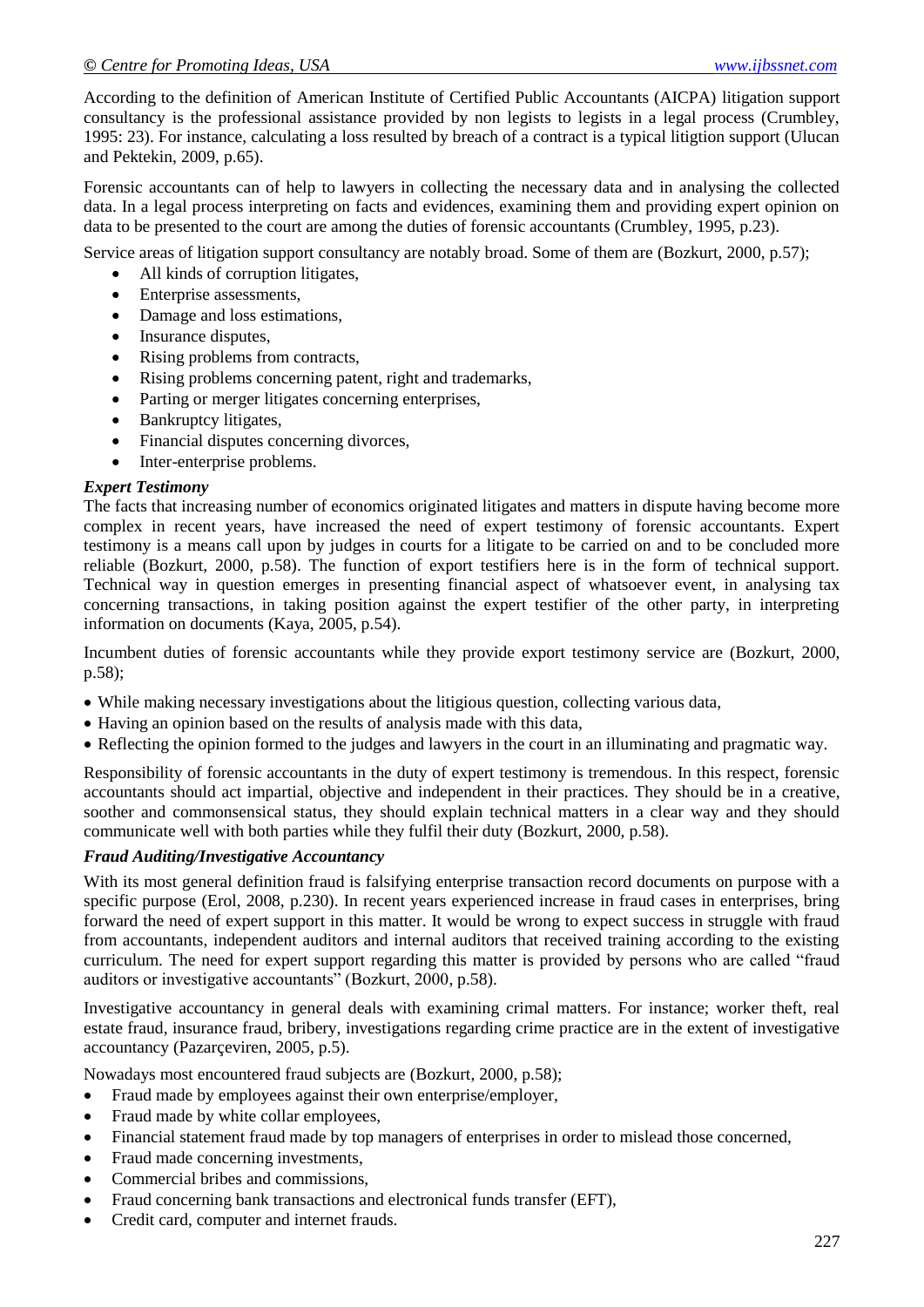According to the definition of American Institute of Certified Public Accountants (AICPA) litigation support consultancy is the professional assistance provided by non legists to legists in a legal process (Crumbley, 1995: 23). For instance, calculating a loss resulted by breach of a contract is a typical litigtion support (Ulucan and Pektekin, 2009, p.65).

Forensic accountants can of help to lawyers in collecting the necessary data and in analysing the collected data. In a legal process interpreting on facts and evidences, examining them and providing expert opinion on data to be presented to the court are among the duties of forensic accountants (Crumbley, 1995, p.23).

Service areas of litigation support consultancy are notably broad. Some of them are (Bozkurt, 2000, p.57);

- All kinds of corruption litigates,
- Enterprise assessments,
- Damage and loss estimations,
- Insurance disputes,
- Rising problems from contracts,
- Rising problems concerning patent, right and trademarks,
- Parting or merger litigates concerning enterprises,
- Bankruptcy litigates,
- Financial disputes concerning divorces,
- Inter-enterprise problems.

#### *Expert Testimony*

The facts that increasing number of economics originated litigates and matters in dispute having become more complex in recent years, have increased the need of expert testimony of forensic accountants. Expert testimony is a means call upon by judges in courts for a litigate to be carried on and to be concluded more reliable (Bozkurt, 2000, p.58). The function of export testifiers here is in the form of technical support. Technical way in question emerges in presenting financial aspect of whatsoever event, in analysing tax concerning transactions, in taking position against the expert testifier of the other party, in interpreting information on documents (Kaya, 2005, p.54).

Incumbent duties of forensic accountants while they provide export testimony service are (Bozkurt, 2000, p.58);

- While making necessary investigations about the litigious question, collecting various data,
- Having an opinion based on the results of analysis made with this data,
- Reflecting the opinion formed to the judges and lawyers in the court in an illuminating and pragmatic way.

Responsibility of forensic accountants in the duty of expert testimony is tremendous. In this respect, forensic accountants should act impartial, objective and independent in their practices. They should be in a creative, soother and commonsensical status, they should explain technical matters in a clear way and they should communicate well with both parties while they fulfil their duty (Bozkurt, 2000, p.58).

#### *Fraud Auditing/Investigative Accountancy*

With its most general definition fraud is falsifying enterprise transaction record documents on purpose with a specific purpose (Erol, 2008, p.230). In recent years experienced increase in fraud cases in enterprises, bring forward the need of expert support in this matter. It would be wrong to expect success in struggle with fraud from accountants, independent auditors and internal auditors that received training according to the existing curriculum. The need for expert support regarding this matter is provided by persons who are called "fraud auditors or investigative accountants" (Bozkurt, 2000, p.58).

Investigative accountancy in general deals with examining crimal matters. For instance; worker theft, real estate fraud, insurance fraud, bribery, investigations regarding crime practice are in the extent of investigative accountancy (Pazarçeviren, 2005, p.5).

Nowadays most encountered fraud subjects are (Bozkurt, 2000, p.58);

- Fraud made by employees against their own enterprise/employer,
- Fraud made by white collar employees,
- Financial statement fraud made by top managers of enterprises in order to mislead those concerned,
- Fraud made concerning investments,
- Commercial bribes and commissions,
- Fraud concerning bank transactions and electronical funds transfer (EFT),
- Credit card, computer and internet frauds.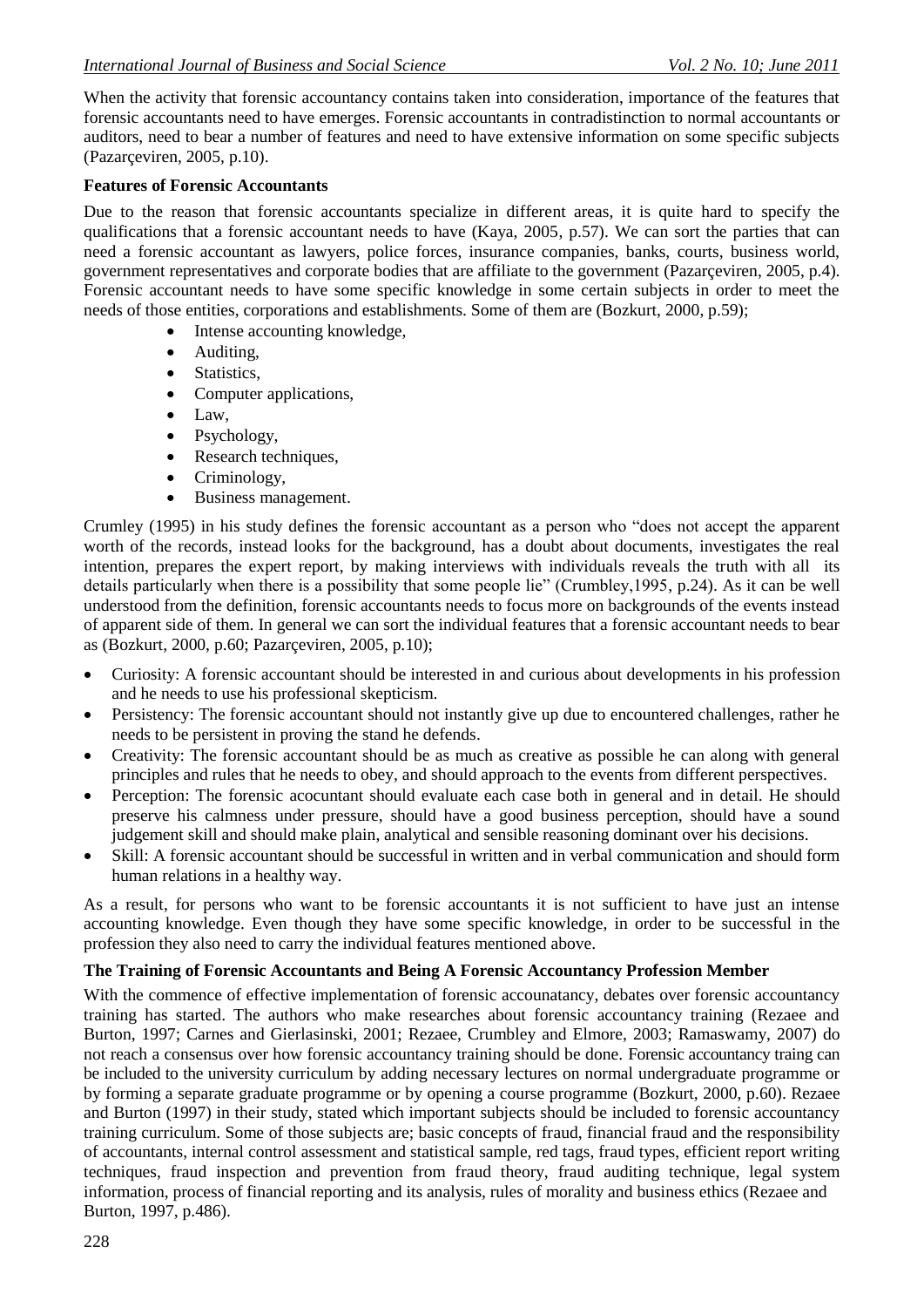When the activity that forensic accountancy contains taken into consideration, importance of the features that forensic accountants need to have emerges. Forensic accountants in contradistinction to normal accountants or auditors, need to bear a number of features and need to have extensive information on some specific subjects (Pazarçeviren, 2005, p.10).

#### **Features of Forensic Accountants**

Due to the reason that forensic accountants specialize in different areas, it is quite hard to specify the qualifications that a forensic accountant needs to have (Kaya, 2005, p.57). We can sort the parties that can need a forensic accountant as lawyers, police forces, insurance companies, banks, courts, business world, government representatives and corporate bodies that are affiliate to the government (Pazarçeviren, 2005, p.4). Forensic accountant needs to have some specific knowledge in some certain subjects in order to meet the needs of those entities, corporations and establishments. Some of them are (Bozkurt, 2000, p.59);

- Intense accounting knowledge,
- Auditing,
- Statistics,
- Computer applications,
- Law.
- Psychology,
- Research techniques,
- Criminology,
- Business management.

Crumley (1995) in his study defines the forensic accountant as a person who "does not accept the apparent worth of the records, instead looks for the background, has a doubt about documents, investigates the real intention, prepares the expert report, by making interviews with individuals reveals the truth with all its details particularly when there is a possibility that some people lie" (Crumbley,1995, p.24). As it can be well understood from the definition, forensic accountants needs to focus more on backgrounds of the events instead of apparent side of them. In general we can sort the individual features that a forensic accountant needs to bear as (Bozkurt, 2000, p.60; Pazarçeviren, 2005, p.10);

- Curiosity: A forensic accountant should be interested in and curious about developments in his profession and he needs to use his professional skepticism.
- Persistency: The forensic accountant should not instantly give up due to encountered challenges, rather he needs to be persistent in proving the stand he defends.
- Creativity: The forensic accountant should be as much as creative as possible he can along with general principles and rules that he needs to obey, and should approach to the events from different perspectives.
- Perception: The forensic acocuntant should evaluate each case both in general and in detail. He should preserve his calmness under pressure, should have a good business perception, should have a sound judgement skill and should make plain, analytical and sensible reasoning dominant over his decisions.
- Skill: A forensic accountant should be successful in written and in verbal communication and should form human relations in a healthy way.

As a result, for persons who want to be forensic accountants it is not sufficient to have just an intense accounting knowledge. Even though they have some specific knowledge, in order to be successful in the profession they also need to carry the individual features mentioned above.

#### **The Training of Forensic Accountants and Being A Forensic Accountancy Profession Member**

With the commence of effective implementation of forensic accounatancy, debates over forensic accountancy training has started. The authors who make researches about forensic accountancy training (Rezaee and Burton, 1997; Carnes and Gierlasinski, 2001; Rezaee, Crumbley and Elmore, 2003; Ramaswamy, 2007) do not reach a consensus over how forensic accountancy training should be done. Forensic accountancy traing can be included to the university curriculum by adding necessary lectures on normal undergraduate programme or by forming a separate graduate programme or by opening a course programme (Bozkurt, 2000, p.60). Rezaee and Burton (1997) in their study, stated which important subjects should be included to forensic accountancy training curriculum. Some of those subjects are; basic concepts of fraud, financial fraud and the responsibility of accountants, internal control assessment and statistical sample, red tags, fraud types, efficient report writing techniques, fraud inspection and prevention from fraud theory, fraud auditing technique, legal system information, process of financial reporting and its analysis, rules of morality and business ethics (Rezaee and Burton, 1997, p.486).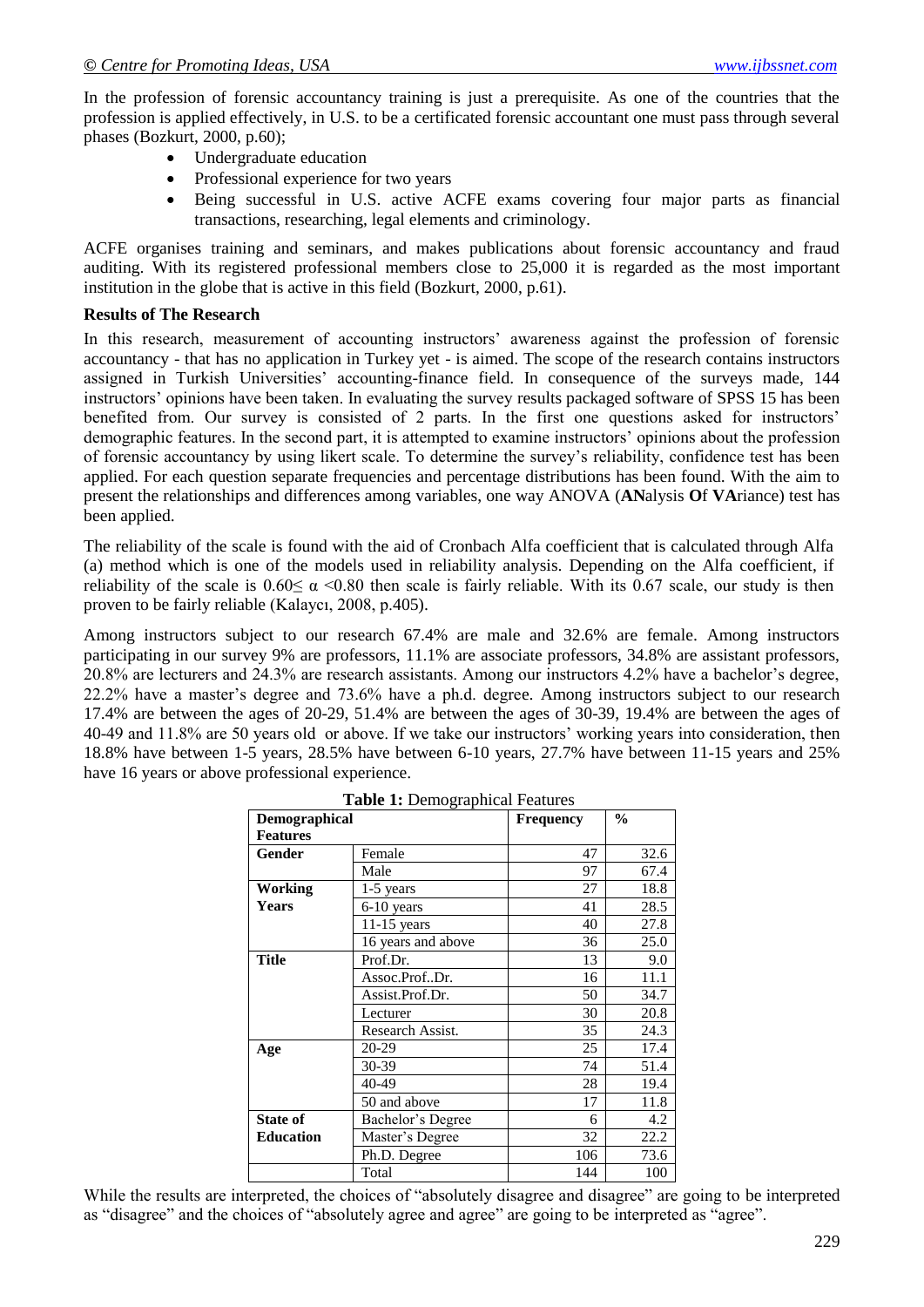In the profession of forensic accountancy training is just a prerequisite. As one of the countries that the profession is applied effectively, in U.S. to be a certificated forensic accountant one must pass through several phases (Bozkurt, 2000, p.60);

- Undergraduate education
- Professional experience for two years
- Being successful in U.S. active ACFE exams covering four major parts as financial transactions, researching, legal elements and criminology.

ACFE organises training and seminars, and makes publications about forensic accountancy and fraud auditing. With its registered professional members close to 25,000 it is regarded as the most important institution in the globe that is active in this field (Bozkurt, 2000, p.61).

#### **Results of The Research**

In this research, measurement of accounting instructors' awareness against the profession of forensic accountancy - that has no application in Turkey yet - is aimed. The scope of the research contains instructors assigned in Turkish Universities" accounting-finance field. In consequence of the surveys made, 144 instructors' opinions have been taken. In evaluating the survey results packaged software of SPSS 15 has been benefited from. Our survey is consisted of 2 parts. In the first one questions asked for instructors' demographic features. In the second part, it is attempted to examine instructors" opinions about the profession of forensic accountancy by using likert scale. To determine the survey"s reliability, confidence test has been applied. For each question separate frequencies and percentage distributions has been found. With the aim to present the relationships and differences among variables, one way ANOVA (**AN**alysis **O**f **VA**riance) test has been applied.

The reliability of the scale is found with the aid of Cronbach Alfa coefficient that is calculated through Alfa (a) method which is one of the models used in reliability analysis. Depending on the Alfa coefficient, if reliability of the scale is  $0.60 \le \alpha \le 0.80$  then scale is fairly reliable. With its 0.67 scale, our study is then proven to be fairly reliable (Kalaycı, 2008, p.405).

Among instructors subject to our research 67.4% are male and 32.6% are female. Among instructors participating in our survey 9% are professors, 11.1% are associate professors, 34.8% are assistant professors, 20.8% are lecturers and 24.3% are research assistants. Among our instructors 4.2% have a bachelor"s degree, 22.2% have a master"s degree and 73.6% have a ph.d. degree. Among instructors subject to our research 17.4% are between the ages of 20-29, 51.4% are between the ages of 30-39, 19.4% are between the ages of 40-49 and 11.8% are 50 years old or above. If we take our instructors" working years into consideration, then 18.8% have between 1-5 years, 28.5% have between 6-10 years, 27.7% have between 11-15 years and 25% have 16 years or above professional experience.

| <b>rapid 1.</b> Demographical Features<br>$\frac{6}{9}$<br>Demographical<br><b>Frequency</b> |                    |     |      |  |  |
|----------------------------------------------------------------------------------------------|--------------------|-----|------|--|--|
| <b>Features</b>                                                                              |                    |     |      |  |  |
| <b>Gender</b>                                                                                | Female             | 47  | 32.6 |  |  |
|                                                                                              | Male               | 97  | 67.4 |  |  |
| <b>Working</b>                                                                               | $1-5$ years        | 27  | 18.8 |  |  |
| <b>Years</b>                                                                                 | 6-10 years         | 41  | 28.5 |  |  |
|                                                                                              | $11-15$ years      | 40  | 27.8 |  |  |
|                                                                                              | 16 years and above | 36  | 25.0 |  |  |
| <b>Title</b>                                                                                 | Prof.Dr.           | 13  | 9.0  |  |  |
|                                                                                              | Assoc.ProfDr.      | 16  | 11.1 |  |  |
|                                                                                              | Assist.Prof.Dr.    | 50  | 34.7 |  |  |
|                                                                                              | Lecturer           | 30  | 20.8 |  |  |
|                                                                                              | Research Assist.   | 35  | 24.3 |  |  |
| Age                                                                                          | 20-29              | 25  | 17.4 |  |  |
|                                                                                              | 30-39              | 74  | 51.4 |  |  |
|                                                                                              | 40-49              | 28  | 19.4 |  |  |
|                                                                                              | 50 and above       | 17  | 11.8 |  |  |
| <b>State of</b>                                                                              | Bachelor's Degree  | 6   | 4.2  |  |  |
| <b>Education</b>                                                                             | Master's Degree    | 32  | 22.2 |  |  |
|                                                                                              | Ph.D. Degree       | 106 | 73.6 |  |  |
|                                                                                              | Total              | 144 | 100  |  |  |

While the results are interpreted, the choices of "absolutely disagree and disagree" are going to be interpreted as "disagree" and the choices of "absolutely agree and agree" are going to be interpreted as "agree".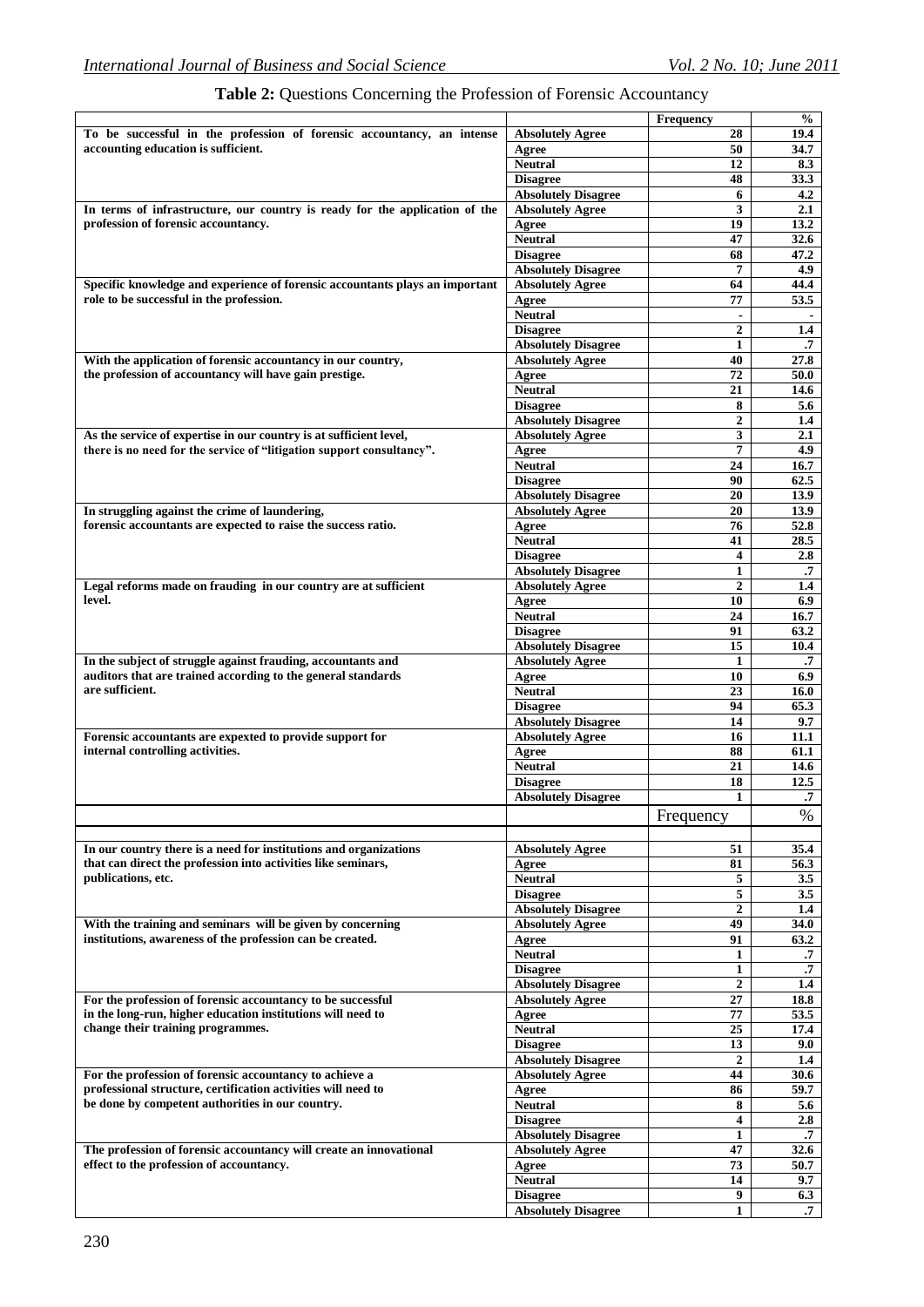|                                                                              |                                               | Frequency        | $\frac{0}{0}$     |
|------------------------------------------------------------------------------|-----------------------------------------------|------------------|-------------------|
| To be successful in the profession of forensic accountancy, an intense       | <b>Absolutely Agree</b>                       | 28               | 19.4              |
| accounting education is sufficient.                                          | Agree                                         | 50               | 34.7              |
|                                                                              | <b>Neutral</b>                                | 12               | 8.3               |
|                                                                              | <b>Disagree</b>                               | 48               | 33.3              |
|                                                                              | <b>Absolutely Disagree</b>                    | 6                | 4.2               |
| In terms of infrastructure, our country is ready for the application of the  | <b>Absolutely Agree</b>                       | 3                | 2.1               |
| profession of forensic accountancy.                                          | Agree                                         | 19               | 13.2              |
|                                                                              | <b>Neutral</b>                                | 47               | 32.6              |
|                                                                              | <b>Disagree</b>                               | 68               | 47.2              |
|                                                                              |                                               |                  |                   |
|                                                                              | <b>Absolutely Disagree</b>                    | 7                | 4.9               |
| Specific knowledge and experience of forensic accountants plays an important | <b>Absolutely Agree</b>                       | 64               | 44.4              |
| role to be successful in the profession.                                     | Agree                                         | 77               | 53.5              |
|                                                                              | <b>Neutral</b>                                |                  |                   |
|                                                                              | <b>Disagree</b>                               | $\overline{2}$   | 1.4               |
|                                                                              | <b>Absolutely Disagree</b>                    | 1                | .7                |
| With the application of forensic accountancy in our country,                 | <b>Absolutely Agree</b>                       | 40               | 27.8              |
| the profession of accountancy will have gain prestige.                       | Agree                                         | 72               | 50.0              |
|                                                                              | <b>Neutral</b>                                | 21               | 14.6              |
|                                                                              | <b>Disagree</b>                               | 8                | 5.6               |
|                                                                              | <b>Absolutely Disagree</b>                    | $\boldsymbol{2}$ | 1.4               |
| As the service of expertise in our country is at sufficient level,           | <b>Absolutely Agree</b>                       | 3                | 2.1               |
| there is no need for the service of "litigation support consultancy".        | Agree                                         | 7                | 4.9               |
|                                                                              | <b>Neutral</b>                                | 24               | 16.7              |
|                                                                              | <b>Disagree</b>                               | 90               | 62.5              |
|                                                                              | <b>Absolutely Disagree</b>                    | 20               | 13.9              |
|                                                                              |                                               |                  |                   |
| In struggling against the crime of laundering,                               | <b>Absolutely Agree</b>                       | 20               | 13.9              |
| forensic accountants are expected to raise the success ratio.                | Agree                                         | 76               | 52.8              |
|                                                                              | <b>Neutral</b>                                | 41               | 28.5              |
|                                                                              | <b>Disagree</b>                               | 4                | 2.8               |
|                                                                              | <b>Absolutely Disagree</b>                    | 1                | .7                |
| Legal reforms made on frauding in our country are at sufficient              | <b>Absolutely Agree</b>                       | $\overline{2}$   | 1.4               |
| level.                                                                       | Agree                                         | 10               | 6.9               |
|                                                                              | <b>Neutral</b>                                | 24               | 16.7              |
|                                                                              | <b>Disagree</b>                               | 91               | 63.2              |
|                                                                              | <b>Absolutely Disagree</b>                    | 15               | 10.4              |
| In the subject of struggle against frauding, accountants and                 | <b>Absolutely Agree</b>                       | 1                | .7                |
| auditors that are trained according to the general standards                 | Agree                                         | 10               | 6.9               |
| are sufficient.                                                              | <b>Neutral</b>                                | 23               | 16.0              |
|                                                                              | <b>Disagree</b>                               | 94               | 65.3              |
|                                                                              | <b>Absolutely Disagree</b>                    | 14               | 9.7               |
|                                                                              |                                               |                  |                   |
| Forensic accountants are expexted to provide support for                     | <b>Absolutely Agree</b>                       | 16               | 11.1              |
| internal controlling activities.                                             | Agree                                         | 88               | 61.1              |
|                                                                              | <b>Neutral</b>                                | 21               | 14.6              |
|                                                                              | <b>Disagree</b>                               | 18               | 12.5              |
|                                                                              | <b>Absolutely Disagree</b>                    | 1                | $\cdot$           |
|                                                                              |                                               | Frequency        | %                 |
| In our country there is a need for institutions and organizations            | <b>Absolutely Agree</b>                       | 51               | 35.4              |
| that can direct the profession into activities like seminars,                | Agree                                         | 81               | 56.3              |
| publications, etc.                                                           | <b>Neutral</b>                                | 5                | 3.5               |
|                                                                              | <b>Disagree</b>                               | 5                | 3.5               |
|                                                                              | <b>Absolutely Disagree</b>                    | $\overline{2}$   | 1.4               |
| With the training and seminars will be given by concerning                   | <b>Absolutely Agree</b>                       | 49               | 34.0              |
| institutions, awareness of the profession can be created.                    | Agree                                         | 91               | 63.2              |
|                                                                              | <b>Neutral</b>                                |                  | $\cdot$           |
|                                                                              |                                               | $\mathbf{1}$     | $\cdot$           |
|                                                                              | <b>Disagree</b>                               | 1                | 1.4               |
|                                                                              | <b>Absolutely Disagree</b>                    | $\mathbf{2}$     |                   |
| For the profession of forensic accountancy to be successful                  | <b>Absolutely Agree</b>                       | 27               | 18.8              |
| in the long-run, higher education institutions will need to                  | Agree                                         | 77               | 53.5              |
| change their training programmes.                                            | <b>Neutral</b>                                | 25               | 17.4              |
|                                                                              | <b>Disagree</b>                               | 13               | 9.0               |
|                                                                              | <b>Absolutely Disagree</b>                    | $\overline{2}$   | 1.4               |
| For the profession of forensic accountancy to achieve a                      | <b>Absolutely Agree</b>                       | 44               | 30.6              |
| professional structure, certification activities will need to                | Agree                                         | 86               | 59.7              |
| be done by competent authorities in our country.                             | <b>Neutral</b>                                | 8                | 5.6               |
|                                                                              | <b>Disagree</b>                               | 4                | 2.8               |
|                                                                              | <b>Absolutely Disagree</b>                    | $\mathbf{1}$     | $\cdot$           |
| The profession of forensic accountancy will create an innovational           | <b>Absolutely Agree</b>                       | 47               | 32.6              |
| effect to the profession of accountancy.                                     | Agree                                         | 73               | 50.7              |
|                                                                              | <b>Neutral</b>                                | 14               | 9.7               |
|                                                                              |                                               |                  |                   |
|                                                                              |                                               |                  |                   |
|                                                                              | <b>Disagree</b><br><b>Absolutely Disagree</b> | 9<br>1           | 6.3<br>$\cdot$ .7 |

### **Table 2:** Questions Concerning the Profession of Forensic Accountancy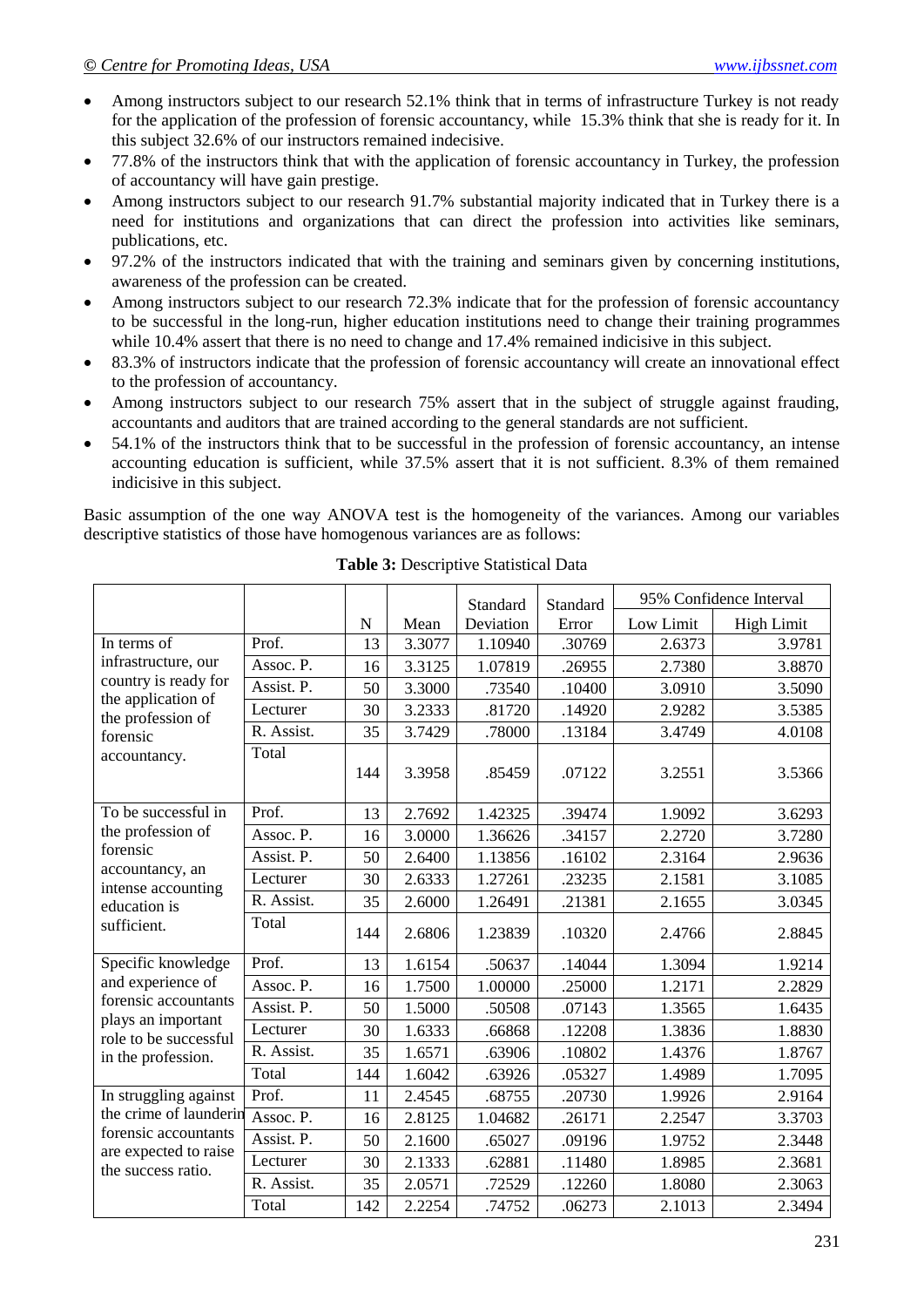- Among instructors subject to our research 52.1% think that in terms of infrastructure Turkey is not ready for the application of the profession of forensic accountancy, while 15.3% think that she is ready for it. In this subject 32.6% of our instructors remained indecisive.
- 77.8% of the instructors think that with the application of forensic accountancy in Turkey, the profession of accountancy will have gain prestige.
- Among instructors subject to our research 91.7% substantial majority indicated that in Turkey there is a need for institutions and organizations that can direct the profession into activities like seminars, publications, etc.
- 97.2% of the instructors indicated that with the training and seminars given by concerning institutions, awareness of the profession can be created.
- Among instructors subject to our research 72.3% indicate that for the profession of forensic accountancy to be successful in the long-run, higher education institutions need to change their training programmes while 10.4% assert that there is no need to change and 17.4% remained indicisive in this subject.
- 83.3% of instructors indicate that the profession of forensic accountancy will create an innovational effect to the profession of accountancy.
- Among instructors subject to our research 75% assert that in the subject of struggle against frauding, accountants and auditors that are trained according to the general standards are not sufficient.
- 54.1% of the instructors think that to be successful in the profession of forensic accountancy, an intense accounting education is sufficient, while 37.5% assert that it is not sufficient. 8.3% of them remained indicisive in this subject.

Basic assumption of the one way ANOVA test is the homogeneity of the variances. Among our variables descriptive statistics of those have homogenous variances are as follows:

|                                               |            |     |        | Standard  | Standard |           | 95% Confidence Interval |
|-----------------------------------------------|------------|-----|--------|-----------|----------|-----------|-------------------------|
|                                               |            | N   | Mean   | Deviation | Error    | Low Limit | <b>High Limit</b>       |
| In terms of                                   | Prof.      | 13  | 3.3077 | 1.10940   | .30769   | 2.6373    | 3.9781                  |
| infrastructure, our                           | Assoc. P.  | 16  | 3.3125 | 1.07819   | .26955   | 2.7380    | 3.8870                  |
| country is ready for                          | Assist. P. | 50  | 3.3000 | .73540    | .10400   | 3.0910    | 3.5090                  |
| the application of<br>the profession of       | Lecturer   | 30  | 3.2333 | .81720    | .14920   | 2.9282    | 3.5385                  |
| forensic                                      | R. Assist. | 35  | 3.7429 | .78000    | .13184   | 3.4749    | 4.0108                  |
| accountancy.                                  | Total      | 144 | 3.3958 | .85459    | .07122   | 3.2551    | 3.5366                  |
| To be successful in                           | Prof.      | 13  | 2.7692 | 1.42325   | .39474   | 1.9092    | 3.6293                  |
| the profession of                             | Assoc. P.  | 16  | 3.0000 | 1.36626   | .34157   | 2.2720    | 3.7280                  |
| forensic                                      | Assist. P. | 50  | 2.6400 | 1.13856   | .16102   | 2.3164    | 2.9636                  |
| accountancy, an<br>intense accounting         | Lecturer   | 30  | 2.6333 | 1.27261   | .23235   | 2.1581    | 3.1085                  |
| education is                                  | R. Assist. | 35  | 2.6000 | 1.26491   | .21381   | 2.1655    | 3.0345                  |
| sufficient.                                   | Total      | 144 | 2.6806 | 1.23839   | .10320   | 2.4766    | 2.8845                  |
| Specific knowledge                            | Prof.      | 13  | 1.6154 | .50637    | .14044   | 1.3094    | 1.9214                  |
| and experience of                             | Assoc. P.  | 16  | 1.7500 | 1.00000   | .25000   | 1.2171    | 2.2829                  |
| forensic accountants                          | Assist. P. | 50  | 1.5000 | .50508    | .07143   | 1.3565    | 1.6435                  |
| plays an important<br>role to be successful   | Lecturer   | 30  | 1.6333 | .66868    | .12208   | 1.3836    | 1.8830                  |
| in the profession.                            | R. Assist. | 35  | 1.6571 | .63906    | .10802   | 1.4376    | 1.8767                  |
|                                               | Total      | 144 | 1.6042 | .63926    | .05327   | 1.4989    | 1.7095                  |
| In struggling against                         | Prof.      | 11  | 2.4545 | .68755    | .20730   | 1.9926    | 2.9164                  |
| the crime of launderin                        | Assoc. P.  | 16  | 2.8125 | 1.04682   | .26171   | 2.2547    | 3.3703                  |
| forensic accountants<br>are expected to raise | Assist. P. | 50  | 2.1600 | .65027    | .09196   | 1.9752    | 2.3448                  |
| the success ratio.                            | Lecturer   | 30  | 2.1333 | .62881    | .11480   | 1.8985    | 2.3681                  |
|                                               | R. Assist. | 35  | 2.0571 | .72529    | .12260   | 1.8080    | 2.3063                  |
|                                               | Total      | 142 | 2.2254 | .74752    | .06273   | 2.1013    | 2.3494                  |

**Table 3:** Descriptive Statistical Data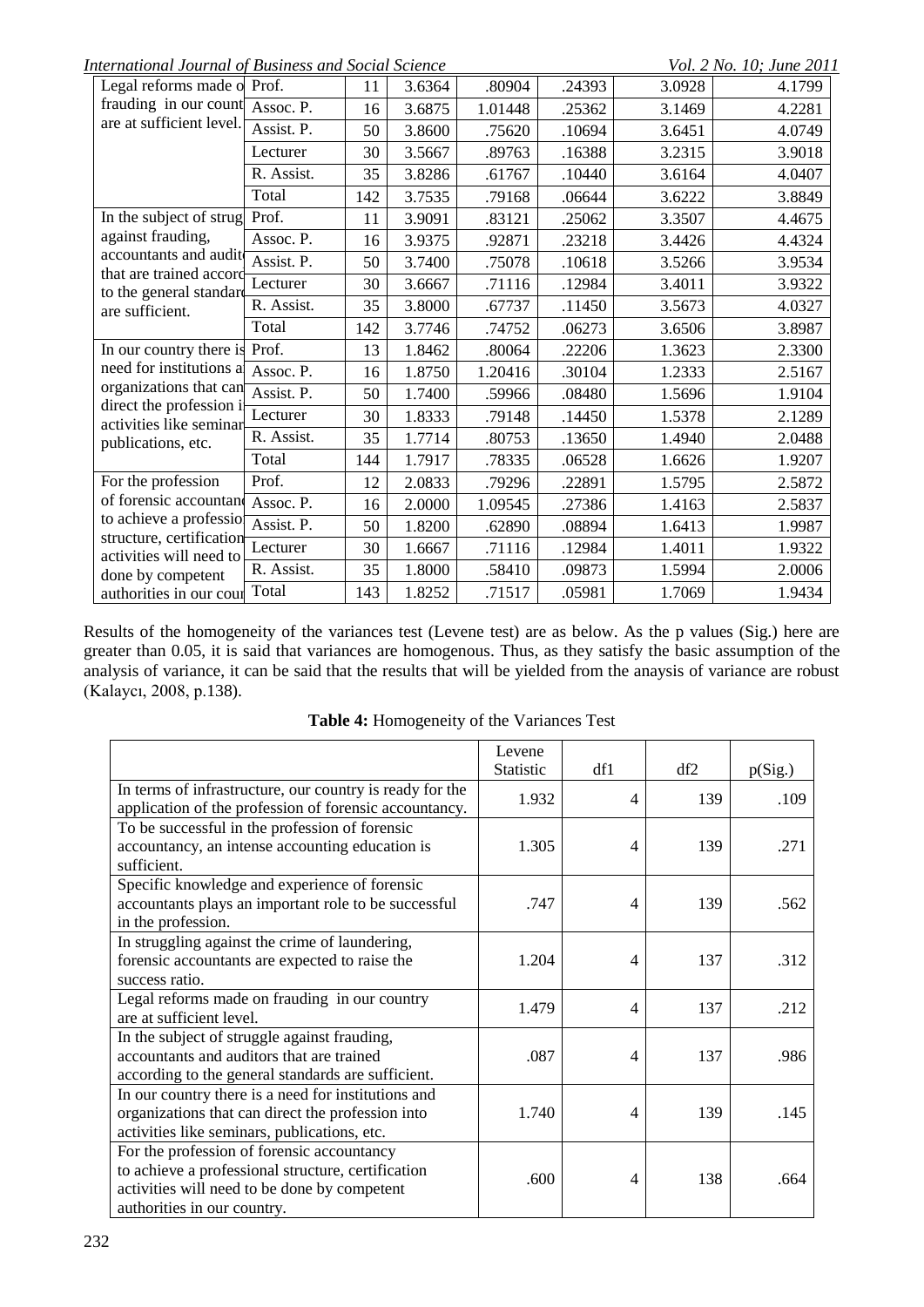*International Journal of Business and Social Science* Vol. 2 No. 10; June 2011

| Legal reforms made o Prof.                                                                                                   |            | 11  | 3.6364 | .80904  | .24393 | 3.0928 | 4.1799 |
|------------------------------------------------------------------------------------------------------------------------------|------------|-----|--------|---------|--------|--------|--------|
| frauding in our count                                                                                                        | Assoc. P.  | 16  | 3.6875 | 1.01448 | .25362 | 3.1469 | 4.2281 |
| are at sufficient level.                                                                                                     | Assist. P. | 50  | 3.8600 | .75620  | .10694 | 3.6451 | 4.0749 |
|                                                                                                                              | Lecturer   | 30  | 3.5667 | .89763  | .16388 | 3.2315 | 3.9018 |
|                                                                                                                              | R. Assist. | 35  | 3.8286 | .61767  | .10440 | 3.6164 | 4.0407 |
|                                                                                                                              | Total      | 142 | 3.7535 | .79168  | .06644 | 3.6222 | 3.8849 |
| In the subject of strug Prof.                                                                                                |            | 11  | 3.9091 | .83121  | .25062 | 3.3507 | 4.4675 |
| against frauding,                                                                                                            | Assoc. P.  | 16  | 3.9375 | .92871  | .23218 | 3.4426 | 4.4324 |
| accountants and audit                                                                                                        | Assist. P. | 50  | 3.7400 | .75078  | .10618 | 3.5266 | 3.9534 |
| that are trained accord-<br>to the general standard                                                                          | Lecturer   | 30  | 3.6667 | .71116  | .12984 | 3.4011 | 3.9322 |
| are sufficient.                                                                                                              | R. Assist. | 35  | 3.8000 | .67737  | .11450 | 3.5673 | 4.0327 |
|                                                                                                                              | Total      | 142 | 3.7746 | .74752  | .06273 | 3.6506 | 3.8987 |
| In our country there is Prof.                                                                                                |            | 13  | 1.8462 | .80064  | .22206 | 1.3623 | 2.3300 |
| need for institutions a                                                                                                      | Assoc. P.  | 16  | 1.8750 | 1.20416 | .30104 | 1.2333 | 2.5167 |
| organizations that can<br>direct the profession i                                                                            | Assist. P. | 50  | 1.7400 | .59966  | .08480 | 1.5696 | 1.9104 |
| activities like seminar                                                                                                      | Lecturer   | 30  | 1.8333 | .79148  | .14450 | 1.5378 | 2.1289 |
| publications, etc.                                                                                                           | R. Assist. | 35  | 1.7714 | .80753  | .13650 | 1.4940 | 2.0488 |
|                                                                                                                              | Total      | 144 | 1.7917 | .78335  | .06528 | 1.6626 | 1.9207 |
| For the profession                                                                                                           | Prof.      | 12  | 2.0833 | .79296  | .22891 | 1.5795 | 2.5872 |
| of forensic accountant<br>to achieve a professio<br>structure, certification<br>activities will need to<br>done by competent | Assoc. P.  | 16  | 2.0000 | 1.09545 | .27386 | 1.4163 | 2.5837 |
|                                                                                                                              | Assist. P. | 50  | 1.8200 | .62890  | .08894 | 1.6413 | 1.9987 |
|                                                                                                                              | Lecturer   | 30  | 1.6667 | .71116  | .12984 | 1.4011 | 1.9322 |
|                                                                                                                              | R. Assist. | 35  | 1.8000 | .58410  | .09873 | 1.5994 | 2.0006 |
| authorities in our cour                                                                                                      | Total      | 143 | 1.8252 | .71517  | .05981 | 1.7069 | 1.9434 |

Results of the homogeneity of the variances test (Levene test) are as below. As the p values (Sig.) here are greater than 0.05, it is said that variances are homogenous. Thus, as they satisfy the basic assumption of the analysis of variance, it can be said that the results that will be yielded from the anaysis of variance are robust (Kalaycı, 2008, p.138).

|                                                                                                                    | Levene<br><b>Statistic</b> | df1            | df2 | p(Sig.) |
|--------------------------------------------------------------------------------------------------------------------|----------------------------|----------------|-----|---------|
|                                                                                                                    |                            |                |     |         |
| In terms of infrastructure, our country is ready for the<br>application of the profession of forensic accountancy. | 1.932                      | 4              | 139 | .109    |
| To be successful in the profession of forensic                                                                     |                            |                |     |         |
| accountancy, an intense accounting education is                                                                    | 1.305                      | $\overline{4}$ | 139 | .271    |
| sufficient.                                                                                                        |                            |                |     |         |
| Specific knowledge and experience of forensic                                                                      |                            |                |     |         |
| accountants plays an important role to be successful                                                               | .747                       | 4              | 139 | .562    |
| in the profession.                                                                                                 |                            |                |     |         |
| In struggling against the crime of laundering,                                                                     |                            |                |     |         |
| forensic accountants are expected to raise the                                                                     | 1.204                      | 4              | 137 | .312    |
| success ratio.                                                                                                     |                            |                |     |         |
| Legal reforms made on frauding in our country                                                                      | 1.479                      | 4              | 137 | .212    |
| are at sufficient level.                                                                                           |                            |                |     |         |
| In the subject of struggle against frauding,                                                                       |                            |                |     |         |
| accountants and auditors that are trained                                                                          | .087                       | 4              | 137 | .986    |
| according to the general standards are sufficient.                                                                 |                            |                |     |         |
| In our country there is a need for institutions and                                                                |                            |                |     |         |
| organizations that can direct the profession into                                                                  | 1.740                      | 4              | 139 | .145    |
| activities like seminars, publications, etc.                                                                       |                            |                |     |         |
| For the profession of forensic accountancy                                                                         |                            |                |     |         |
| to achieve a professional structure, certification                                                                 | .600                       | 4              | 138 | .664    |
| activities will need to be done by competent                                                                       |                            |                |     |         |
| authorities in our country.                                                                                        |                            |                |     |         |

**Table 4:** Homogeneity of the Variances Test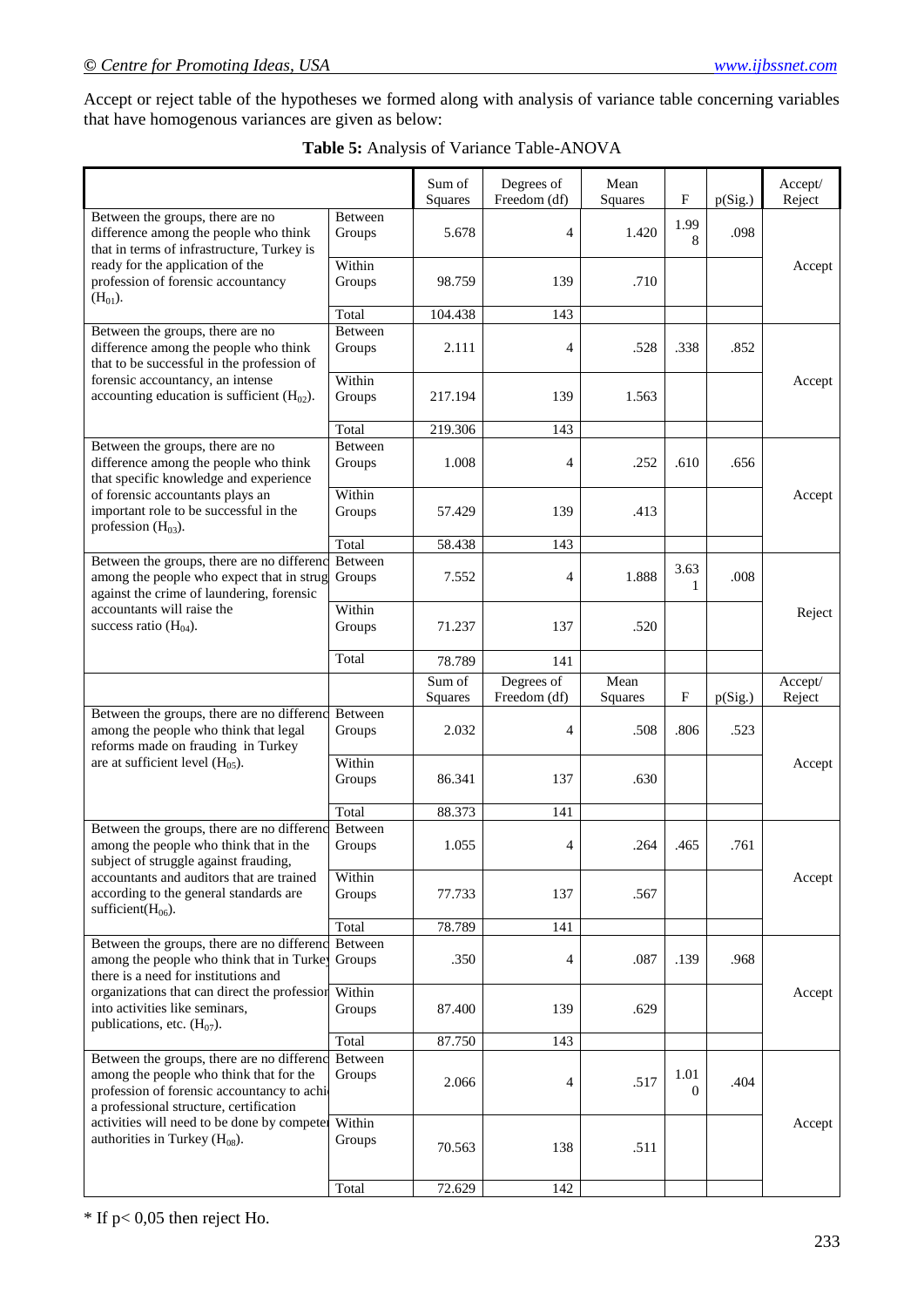Accept or reject table of the hypotheses we formed along with analysis of variance table concerning variables that have homogenous variances are given as below:

|                                                                                                                                                                                |                   | Sum of<br>Squares | Degrees of<br>Freedom (df) | Mean<br>Squares | $\boldsymbol{\mathrm{F}}$ | p(Sig.) | Accept/<br>Reject |
|--------------------------------------------------------------------------------------------------------------------------------------------------------------------------------|-------------------|-------------------|----------------------------|-----------------|---------------------------|---------|-------------------|
| Between the groups, there are no<br>difference among the people who think<br>that in terms of infrastructure, Turkey is                                                        | Between<br>Groups | 5.678             | 4                          | 1.420           | 1.99<br>8                 | .098    |                   |
| ready for the application of the<br>profession of forensic accountancy<br>$(H_{01})$ .                                                                                         | Within<br>Groups  | 98.759            | 139                        | .710            |                           |         | Accept            |
|                                                                                                                                                                                | Total             | 104.438           | 143                        |                 |                           |         |                   |
| Between the groups, there are no<br>difference among the people who think<br>that to be successful in the profession of                                                        | Between<br>Groups | 2.111             | 4                          | .528            | .338                      | .852    |                   |
| forensic accountancy, an intense<br>accounting education is sufficient $(H02)$ .                                                                                               | Within<br>Groups  | 217.194           | 139                        | 1.563           |                           |         | Accept            |
|                                                                                                                                                                                | Total             | 219.306           | 143                        |                 |                           |         |                   |
| Between the groups, there are no<br>difference among the people who think<br>that specific knowledge and experience                                                            | Between<br>Groups | 1.008             | 4                          | .252            | .610                      | .656    |                   |
| of forensic accountants plays an<br>important role to be successful in the<br>profession $(H03)$ .                                                                             | Within<br>Groups  | 57.429            | 139                        | .413            |                           |         | Accept            |
|                                                                                                                                                                                | Total             | 58.438            | 143                        |                 |                           |         |                   |
| Between the groups, there are no differenc<br>among the people who expect that in strug<br>against the crime of laundering, forensic                                           | Between<br>Groups | 7.552             | 4                          | 1.888           | 3.63<br>$\mathbf{1}$      | .008    |                   |
| accountants will raise the<br>success ratio $(H04)$ .                                                                                                                          | Within<br>Groups  | 71.237            | 137                        | .520            |                           |         | Reject            |
|                                                                                                                                                                                | Total             | 78.789            | 141                        |                 |                           |         |                   |
|                                                                                                                                                                                |                   | Sum of            | Degrees of                 | Mean            |                           |         | Accept/           |
|                                                                                                                                                                                |                   | Squares           | Freedom (df)               | Squares         | $_{\rm F}$                | p(Sig.) | Reject            |
| Between the groups, there are no differenc<br>among the people who think that legal<br>reforms made on frauding in Turkey                                                      | Between<br>Groups | 2.032             | 4                          | .508            | .806                      | .523    |                   |
| are at sufficient level $(H05)$ .                                                                                                                                              | Within<br>Groups  | 86.341            | 137                        | .630            |                           |         | Accept            |
|                                                                                                                                                                                | Total             | 88.373            | 141                        |                 |                           |         |                   |
| Between the groups, there are no differenc<br>among the people who think that in the<br>subject of struggle against frauding,                                                  | Between<br>Groups | 1.055             | 4                          | .264            | .465                      | .761    |                   |
| accountants and auditors that are trained<br>according to the general standards are<br>sufficient( $H_{06}$ ).                                                                 | Within<br>Groups  | 77.733            | 137                        | .567            |                           |         | Accept            |
|                                                                                                                                                                                | Total             | 78.789            | 141                        |                 |                           |         |                   |
| Between the groups, there are no differenc<br>among the people who think that in Turke<br>there is a need for institutions and                                                 | Between<br>Groups | .350              | 4                          | .087            | .139                      | .968    |                   |
| organizations that can direct the profession<br>into activities like seminars,<br>publications, etc. $(H07)$ .                                                                 | Within<br>Groups  | 87.400            | 139                        | .629            |                           |         | Accept            |
|                                                                                                                                                                                | Total             | 87.750            | 143                        |                 |                           |         |                   |
| Between the groups, there are no differenc<br>among the people who think that for the<br>profession of forensic accountancy to achi<br>a professional structure, certification | Between<br>Groups | 2.066             | 4                          | .517            | 1.01<br>$\theta$          | .404    |                   |
| activities will need to be done by competer<br>authorities in Turkey $(H08)$ .                                                                                                 | Within<br>Groups  | 70.563            | 138                        | .511            |                           |         | Accept            |
|                                                                                                                                                                                | Total             | 72.629            | 142                        |                 |                           |         |                   |

 $*$  If p< 0,05 then reject Ho.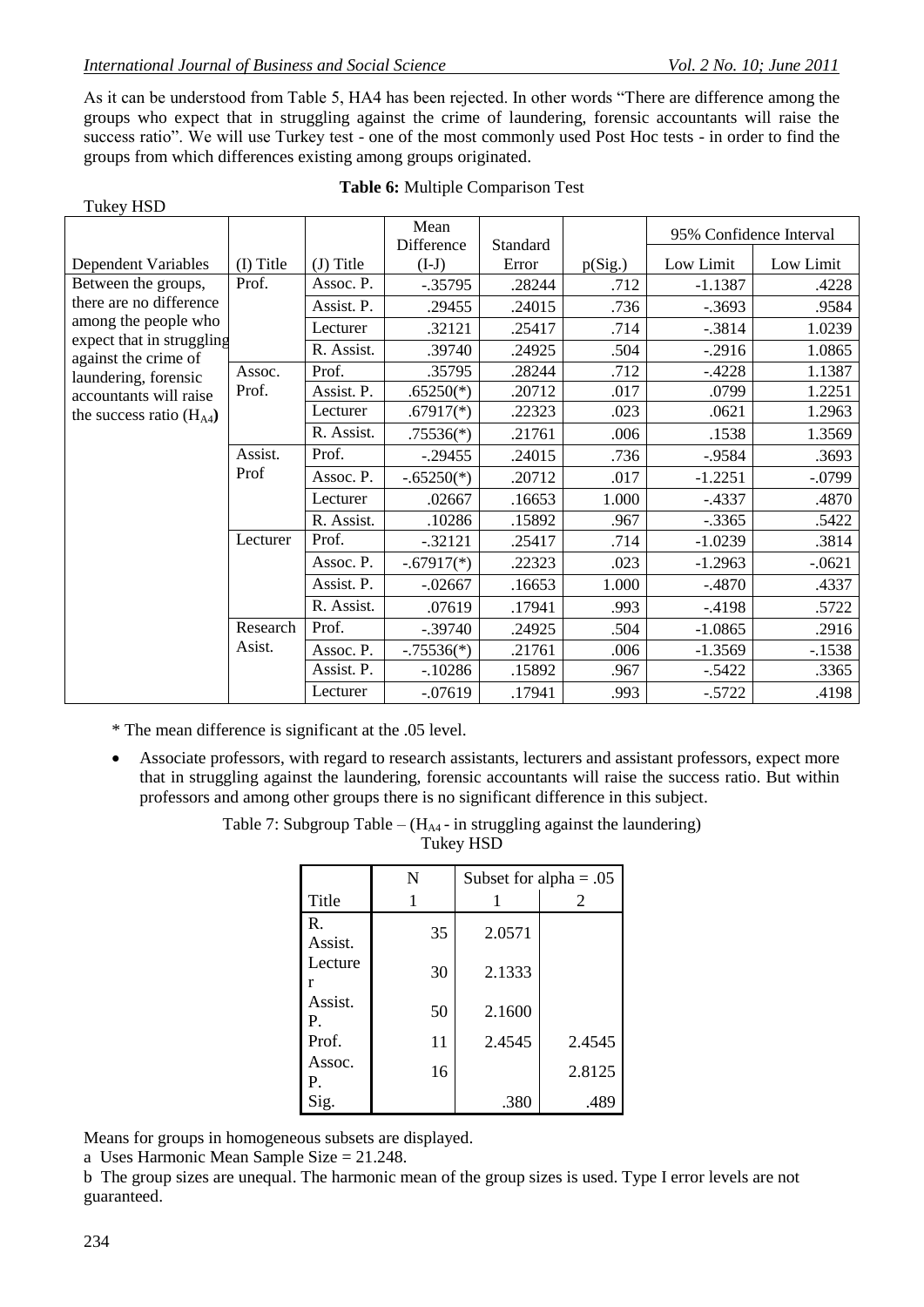Tukey HSD

As it can be understood from Table 5, HA4 has been rejected. In other words "There are difference among the groups who expect that in struggling against the crime of laundering, forensic accountants will raise the success ratio". We will use Turkey test - one of the most commonly used Post Hoc tests - in order to find the groups from which differences existing among groups originated.

|                                              |           |             | Mean                  |                   |         |           | 95% Confidence Interval |
|----------------------------------------------|-----------|-------------|-----------------------|-------------------|---------|-----------|-------------------------|
| Dependent Variables                          | (I) Title | $(J)$ Title | Difference<br>$(I-J)$ | Standard<br>Error | p(Sig.) | Low Limit | Low Limit               |
| Between the groups,                          | Prof.     | Assoc. P.   | $-.35795$             | .28244            | .712    | $-1.1387$ | .4228                   |
| there are no difference                      |           | Assist. P.  | .29455                | .24015            | .736    | $-0.3693$ | .9584                   |
| among the people who                         |           | Lecturer    | .32121                | .25417            | .714    | $-.3814$  | 1.0239                  |
| expect that in struggling                    |           | R. Assist.  | .39740                | .24925            | .504    | $-.2916$  | 1.0865                  |
| against the crime of<br>laundering, forensic | Assoc.    | Prof.       | .35795                | .28244            | .712    | $-4228$   | 1.1387                  |
| accountants will raise                       | Prof.     | Assist. P.  | $.65250(*)$           | .20712            | .017    | .0799     | 1.2251                  |
| the success ratio $(H_{A4})$                 |           | Lecturer    | $.67917(*)$           | .22323            | .023    | .0621     | 1.2963                  |
|                                              |           | R. Assist.  | $.75536(*)$           | .21761            | .006    | .1538     | 1.3569                  |
|                                              | Assist.   | Prof.       | $-.29455$             | .24015            | .736    | $-0.9584$ | .3693                   |
|                                              | Prof      | Assoc. P.   | $-.65250(*)$          | .20712            | .017    | $-1.2251$ | $-.0799$                |
|                                              |           | Lecturer    | .02667                | .16653            | 1.000   | $-.4337$  | .4870                   |
|                                              |           | R. Assist.  | .10286                | .15892            | .967    | $-.3365$  | .5422                   |
|                                              | Lecturer  | Prof.       | $-.32121$             | .25417            | .714    | $-1.0239$ | .3814                   |
|                                              |           | Assoc. P.   | $-.67917(*)$          | .22323            | .023    | $-1.2963$ | $-.0621$                |
|                                              |           | Assist. P.  | $-.02667$             | .16653            | 1.000   | $-4870$   | .4337                   |
|                                              |           | R. Assist.  | .07619                | .17941            | .993    | $-4198$   | .5722                   |
|                                              | Research  | Prof.       | $-.39740$             | .24925            | .504    | $-1.0865$ | .2916                   |
|                                              | Asist.    | Assoc. P.   | $-.75536(*)$          | .21761            | .006    | $-1.3569$ | $-1538$                 |
|                                              |           | Assist. P.  | $-10286$              | .15892            | .967    | $-.5422$  | .3365                   |
|                                              |           | Lecturer    | $-.07619$             | .17941            | .993    | $-0.5722$ | .4198                   |

#### **Table 6:** Multiple Comparison Test

\* The mean difference is significant at the .05 level.

 Associate professors, with regard to research assistants, lecturers and assistant professors, expect more that in struggling against the laundering, forensic accountants will raise the success ratio. But within professors and among other groups there is no significant difference in this subject.

> Table 7: Subgroup Table –  $(H<sub>A4</sub> - in \text{ struggling against the launchering})$ Tukey HSD

|               | N  | Subset for alpha = $.05$ |        |  |
|---------------|----|--------------------------|--------|--|
| Title         | 1  |                          | 2      |  |
| R.<br>Assist. | 35 | 2.0571                   |        |  |
| Lecture<br>r  | 30 | 2.1333                   |        |  |
| Assist.<br>Ρ. | 50 | 2.1600                   |        |  |
| Prof.         | 11 | 2.4545                   | 2.4545 |  |
| Assoc.<br>Р.  | 16 |                          | 2.8125 |  |
| Sig.          |    | .380                     | .489   |  |

Means for groups in homogeneous subsets are displayed.

a Uses Harmonic Mean Sample Size = 21.248.

b The group sizes are unequal. The harmonic mean of the group sizes is used. Type I error levels are not guaranteed.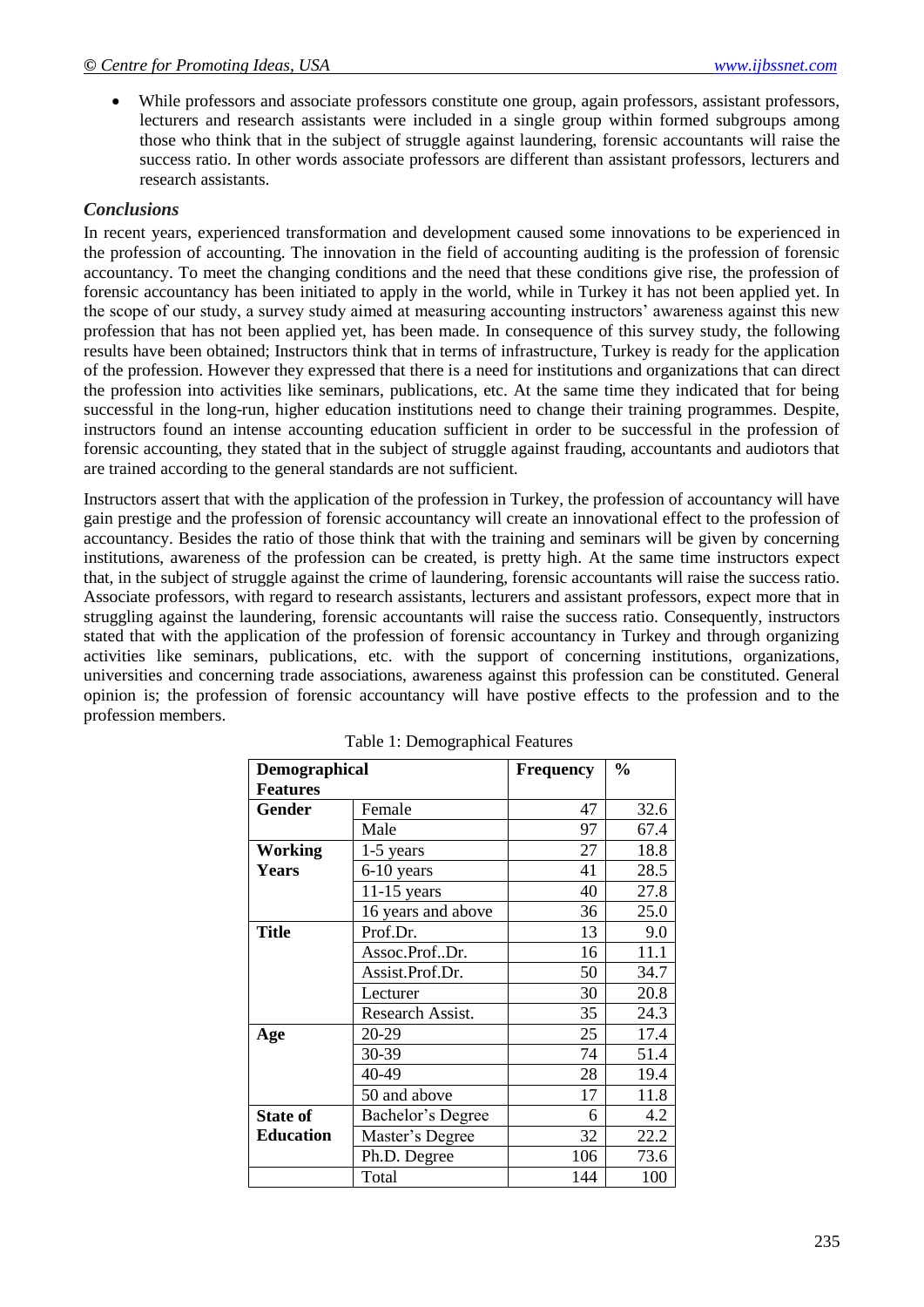While professors and associate professors constitute one group, again professors, assistant professors, lecturers and research assistants were included in a single group within formed subgroups among those who think that in the subject of struggle against laundering, forensic accountants will raise the success ratio. In other words associate professors are different than assistant professors, lecturers and research assistants.

### *Conclusions*

In recent years, experienced transformation and development caused some innovations to be experienced in the profession of accounting. The innovation in the field of accounting auditing is the profession of forensic accountancy. To meet the changing conditions and the need that these conditions give rise, the profession of forensic accountancy has been initiated to apply in the world, while in Turkey it has not been applied yet. In the scope of our study, a survey study aimed at measuring accounting instructors" awareness against this new profession that has not been applied yet, has been made. In consequence of this survey study, the following results have been obtained; Instructors think that in terms of infrastructure, Turkey is ready for the application of the profession. However they expressed that there is a need for institutions and organizations that can direct the profession into activities like seminars, publications, etc. At the same time they indicated that for being successful in the long-run, higher education institutions need to change their training programmes. Despite, instructors found an intense accounting education sufficient in order to be successful in the profession of forensic accounting, they stated that in the subject of struggle against frauding, accountants and audiotors that are trained according to the general standards are not sufficient.

Instructors assert that with the application of the profession in Turkey, the profession of accountancy will have gain prestige and the profession of forensic accountancy will create an innovational effect to the profession of accountancy. Besides the ratio of those think that with the training and seminars will be given by concerning institutions, awareness of the profession can be created, is pretty high. At the same time instructors expect that, in the subject of struggle against the crime of laundering, forensic accountants will raise the success ratio. Associate professors, with regard to research assistants, lecturers and assistant professors, expect more that in struggling against the laundering, forensic accountants will raise the success ratio. Consequently, instructors stated that with the application of the profession of forensic accountancy in Turkey and through organizing activities like seminars, publications, etc. with the support of concerning institutions, organizations, universities and concerning trade associations, awareness against this profession can be constituted. General opinion is; the profession of forensic accountancy will have postive effects to the profession and to the profession members.

| Demographical    |                    | <b>Frequency</b> | $\frac{0}{0}$ |
|------------------|--------------------|------------------|---------------|
| <b>Features</b>  |                    |                  |               |
| <b>Gender</b>    | Female             | 47               | 32.6          |
|                  | Male               | 97               | 67.4          |
| Working          | 1-5 years          | 27               | 18.8          |
| <b>Years</b>     | 6-10 years         | 41               | 28.5          |
|                  | $11-15$ years      | 40               | 27.8          |
|                  | 16 years and above | 36               | 25.0          |
| <b>Title</b>     | Prof.Dr.           | 13               | 9.0           |
|                  | Assoc.ProfDr.      | 16               | 11.1          |
|                  | Assist.Prof.Dr.    | 50               | 34.7          |
|                  | Lecturer           | 30               | 20.8          |
|                  | Research Assist.   | 35               | 24.3          |
| Age              | 20-29              | 25               | 17.4          |
|                  | 30-39              | 74               | 51.4          |
|                  | 40-49              | 28               | 19.4          |
|                  | 50 and above       | 17               | 11.8          |
| <b>State of</b>  | Bachelor's Degree  | 6                | 4.2           |
| <b>Education</b> | Master's Degree    | 32               | 22.2          |
|                  | Ph.D. Degree       | 106              | 73.6          |
|                  | Total              | 144              | 100           |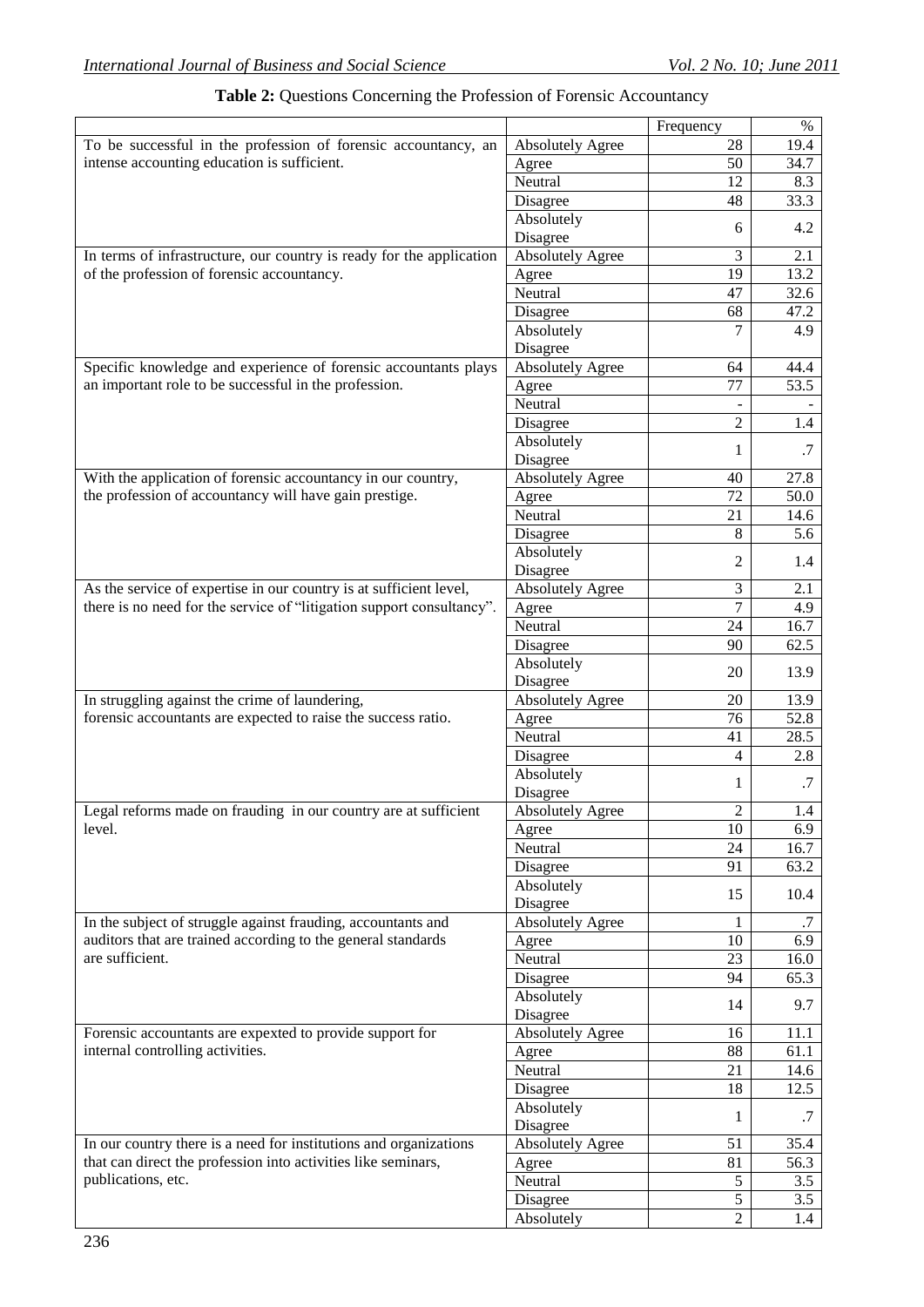|                                                                       |                         | Frequency      | $\%$ |
|-----------------------------------------------------------------------|-------------------------|----------------|------|
| To be successful in the profession of forensic accountancy, an        | <b>Absolutely Agree</b> | 28             | 19.4 |
| intense accounting education is sufficient.                           | Agree                   | 50             | 34.7 |
|                                                                       | Neutral                 | 12             | 8.3  |
|                                                                       | Disagree                | 48             | 33.3 |
|                                                                       | Absolutely              |                |      |
|                                                                       | Disagree                | 6              | 4.2  |
| In terms of infrastructure, our country is ready for the application  | <b>Absolutely Agree</b> | 3              | 2.1  |
| of the profession of forensic accountancy.                            | Agree                   | 19             | 13.2 |
|                                                                       | Neutral                 | 47             | 32.6 |
|                                                                       | Disagree                | 68             | 47.2 |
|                                                                       | Absolutely              | 7              | 4.9  |
|                                                                       | Disagree                |                |      |
| Specific knowledge and experience of forensic accountants plays       | <b>Absolutely Agree</b> | 64             | 44.4 |
| an important role to be successful in the profession.                 | Agree                   | 77             | 53.5 |
|                                                                       | Neutral                 | $\blacksquare$ |      |
|                                                                       | Disagree                | $\sqrt{2}$     | 1.4  |
|                                                                       | Absolutely              |                |      |
|                                                                       | Disagree                | 1              | .7   |
| With the application of forensic accountancy in our country,          | <b>Absolutely Agree</b> | 40             | 27.8 |
| the profession of accountancy will have gain prestige.                | Agree                   | 72             | 50.0 |
|                                                                       | Neutral                 | 21             | 14.6 |
|                                                                       | Disagree                | 8              | 5.6  |
|                                                                       | Absolutely              |                |      |
|                                                                       | Disagree                | 2              | 1.4  |
| As the service of expertise in our country is at sufficient level,    | <b>Absolutely Agree</b> | 3              | 2.1  |
| there is no need for the service of "litigation support consultancy". | Agree                   | $\overline{7}$ | 4.9  |
|                                                                       | Neutral                 | 24             | 16.7 |
|                                                                       | Disagree                | 90             | 62.5 |
|                                                                       | Absolutely              |                |      |
|                                                                       | Disagree                | 20             | 13.9 |
| In struggling against the crime of laundering,                        | <b>Absolutely Agree</b> | 20             | 13.9 |
| forensic accountants are expected to raise the success ratio.         | Agree                   | 76             | 52.8 |
|                                                                       | Neutral                 | 41             | 28.5 |
|                                                                       | Disagree                | 4              | 2.8  |
|                                                                       | Absolutely              |                |      |
|                                                                       | Disagree                | 1              | .7   |
| Legal reforms made on frauding in our country are at sufficient       | <b>Absolutely Agree</b> | $\overline{c}$ | 1.4  |
| level.                                                                | Agree                   | 10             | 6.9  |
|                                                                       | Neutral                 | 24             | 16.7 |
|                                                                       | Disagree                | 91             | 63.2 |
|                                                                       | Absolutely              |                |      |
|                                                                       | Disagree                | 15             | 10.4 |
| In the subject of struggle against frauding, accountants and          | <b>Absolutely Agree</b> | 1              | .7   |
| auditors that are trained according to the general standards          | Agree                   | 10             | 6.9  |
| are sufficient.                                                       | Neutral                 | 23             | 16.0 |
|                                                                       | Disagree                | 94             | 65.3 |
|                                                                       | Absolutely              |                |      |
|                                                                       | Disagree                | 14             | 9.7  |
| Forensic accountants are expexted to provide support for              | <b>Absolutely Agree</b> | 16             | 11.1 |
| internal controlling activities.                                      | Agree                   | 88             | 61.1 |
|                                                                       | Neutral                 | 21             | 14.6 |
|                                                                       | Disagree                | 18             | 12.5 |
|                                                                       | Absolutely              |                |      |
|                                                                       | Disagree                | 1              | .7   |
| In our country there is a need for institutions and organizations     | <b>Absolutely Agree</b> | 51             | 35.4 |
| that can direct the profession into activities like seminars,         | Agree                   | 81             | 56.3 |
| publications, etc.                                                    | Neutral                 | 5              | 3.5  |
|                                                                       | Disagree                | 5              | 3.5  |
|                                                                       | Absolutely              | $\sqrt{2}$     | 1.4  |

# **Table 2:** Questions Concerning the Profession of Forensic Accountancy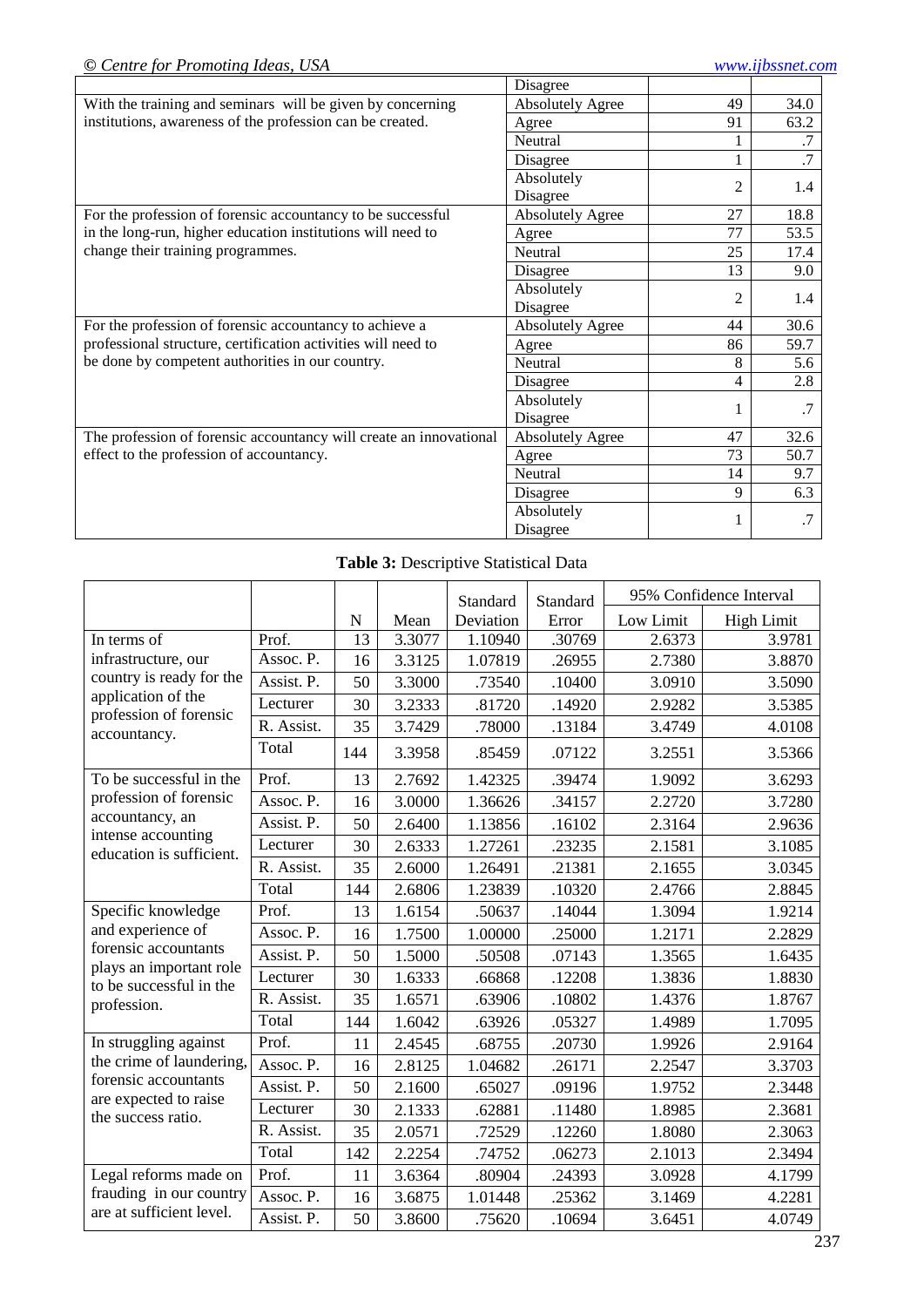|                                                                    | Disagree                |                |                 |
|--------------------------------------------------------------------|-------------------------|----------------|-----------------|
| With the training and seminars will be given by concerning         | <b>Absolutely Agree</b> | 49             | 34.0            |
| institutions, awareness of the profession can be created.          | Agree                   | 91             | 63.2            |
|                                                                    | Neutral                 |                | .7              |
|                                                                    | Disagree                | 1              | $\overline{.7}$ |
|                                                                    | Absolutely              | $\overline{2}$ | 1.4             |
|                                                                    | Disagree                |                |                 |
| For the profession of forensic accountancy to be successful        | <b>Absolutely Agree</b> | 27             | 18.8            |
| in the long-run, higher education institutions will need to        | Agree                   | 77             | 53.5            |
| change their training programmes.                                  | Neutral                 | 25             | 17.4            |
|                                                                    | Disagree                | 13             | 9.0             |
|                                                                    | Absolutely              | $\overline{2}$ | 1.4             |
|                                                                    | Disagree                |                |                 |
| For the profession of forensic accountancy to achieve a            | <b>Absolutely Agree</b> | 44             | 30.6            |
| professional structure, certification activities will need to      | Agree                   | 86             | 59.7            |
| be done by competent authorities in our country.                   | Neutral                 | 8              | 5.6             |
|                                                                    | Disagree                | 4              | 2.8             |
|                                                                    | Absolutely              |                | .7              |
|                                                                    | Disagree                |                |                 |
| The profession of forensic accountancy will create an innovational | <b>Absolutely Agree</b> | 47             | 32.6            |
| effect to the profession of accountancy.                           | Agree                   | 73             | 50.7            |
|                                                                    | Neutral                 | 14             | 9.7             |
|                                                                    | Disagree                | 9              | 6.3             |
|                                                                    | Absolutely              | 1              | .7              |
|                                                                    | Disagree                |                |                 |

# **Table 3:** Descriptive Statistical Data

|                                                 |            |           |        | Standard  | Standard | 95% Confidence Interval |                   |
|-------------------------------------------------|------------|-----------|--------|-----------|----------|-------------------------|-------------------|
|                                                 |            | ${\bf N}$ | Mean   | Deviation | Error    | Low Limit               | <b>High Limit</b> |
| In terms of                                     | Prof.      | 13        | 3.3077 | 1.10940   | .30769   | 2.6373                  | 3.9781            |
| infrastructure, our                             | Assoc. P.  | 16        | 3.3125 | 1.07819   | .26955   | 2.7380                  | 3.8870            |
| country is ready for the                        | Assist. P. | 50        | 3.3000 | .73540    | .10400   | 3.0910                  | 3.5090            |
| application of the<br>profession of forensic    | Lecturer   | 30        | 3.2333 | .81720    | .14920   | 2.9282                  | 3.5385            |
| accountancy.                                    | R. Assist. | 35        | 3.7429 | .78000    | .13184   | 3.4749                  | 4.0108            |
|                                                 | Total      | 144       | 3.3958 | .85459    | .07122   | 3.2551                  | 3.5366            |
| To be successful in the                         | Prof.      | 13        | 2.7692 | 1.42325   | .39474   | 1.9092                  | 3.6293            |
| profession of forensic                          | Assoc. P.  | 16        | 3.0000 | 1.36626   | .34157   | 2.2720                  | 3.7280            |
| accountancy, an                                 | Assist. P. | 50        | 2.6400 | 1.13856   | .16102   | 2.3164                  | 2.9636            |
| intense accounting<br>education is sufficient.  | Lecturer   | 30        | 2.6333 | 1.27261   | .23235   | 2.1581                  | 3.1085            |
|                                                 | R. Assist. | 35        | 2.6000 | 1.26491   | .21381   | 2.1655                  | 3.0345            |
|                                                 | Total      | 144       | 2.6806 | 1.23839   | .10320   | 2.4766                  | 2.8845            |
| Specific knowledge                              | Prof.      | 13        | 1.6154 | .50637    | .14044   | 1.3094                  | 1.9214            |
| and experience of                               | Assoc. P.  | 16        | 1.7500 | 1.00000   | .25000   | 1.2171                  | 2.2829            |
| forensic accountants<br>plays an important role | Assist. P. | 50        | 1.5000 | .50508    | .07143   | 1.3565                  | 1.6435            |
| to be successful in the                         | Lecturer   | 30        | 1.6333 | .66868    | .12208   | 1.3836                  | 1.8830            |
| profession.                                     | R. Assist. | 35        | 1.6571 | .63906    | .10802   | 1.4376                  | 1.8767            |
|                                                 | Total      | 144       | 1.6042 | .63926    | .05327   | 1.4989                  | 1.7095            |
| In struggling against                           | Prof.      | 11        | 2.4545 | .68755    | .20730   | 1.9926                  | 2.9164            |
| the crime of laundering,                        | Assoc. P.  | 16        | 2.8125 | 1.04682   | .26171   | 2.2547                  | 3.3703            |
| forensic accountants                            | Assist. P. | 50        | 2.1600 | .65027    | .09196   | 1.9752                  | 2.3448            |
| are expected to raise<br>the success ratio.     | Lecturer   | 30        | 2.1333 | .62881    | .11480   | 1.8985                  | 2.3681            |
|                                                 | R. Assist. | 35        | 2.0571 | .72529    | .12260   | 1.8080                  | 2.3063            |
|                                                 | Total      | 142       | 2.2254 | .74752    | .06273   | 2.1013                  | 2.3494            |
| Legal reforms made on                           | Prof.      | 11        | 3.6364 | .80904    | .24393   | 3.0928                  | 4.1799            |
| frauding in our country                         | Assoc. P.  | 16        | 3.6875 | 1.01448   | .25362   | 3.1469                  | 4.2281            |
| are at sufficient level.                        | Assist. P. | 50        | 3.8600 | .75620    | .10694   | 3.6451                  | 4.0749            |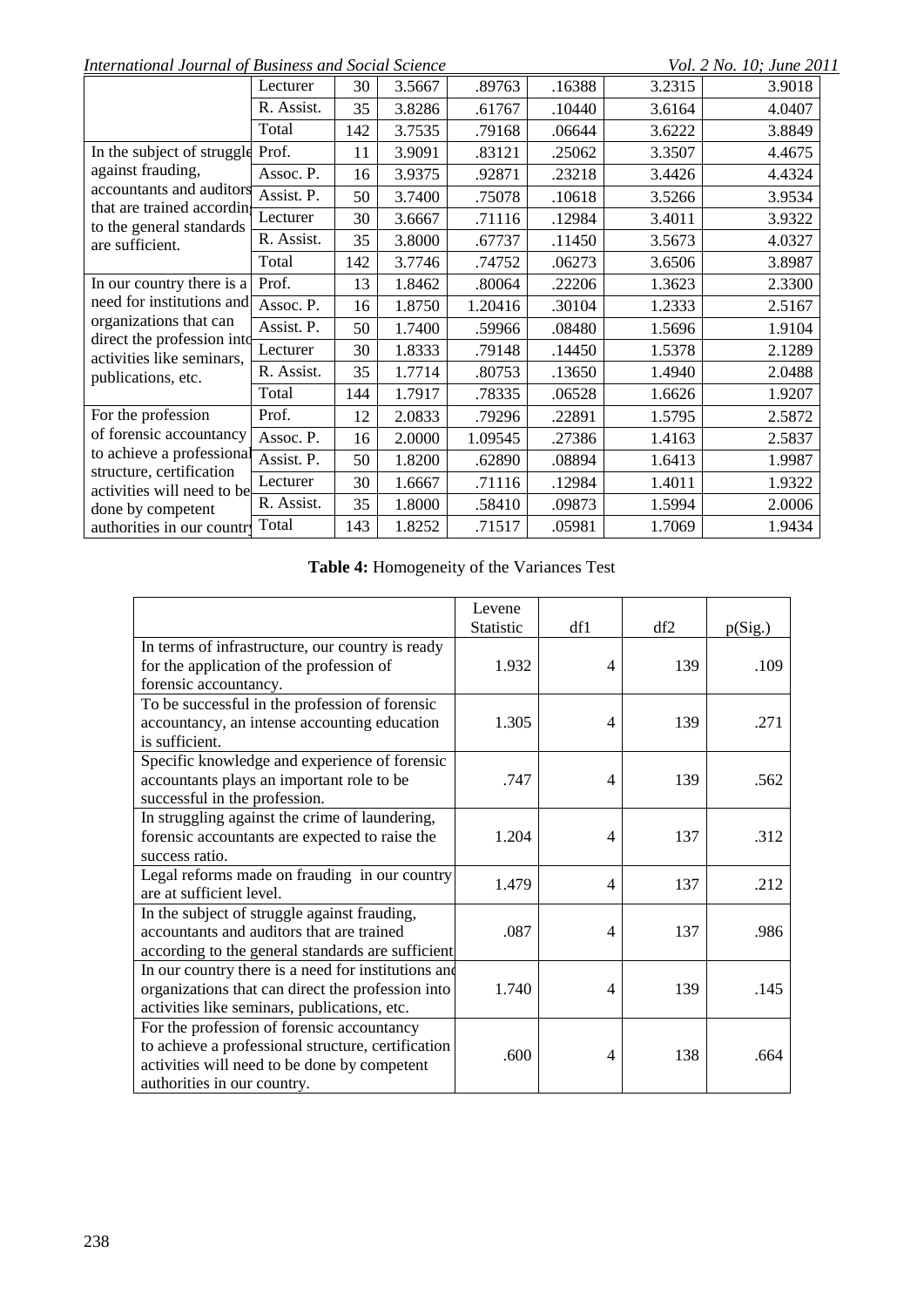*International Journal of Business and Social Science* Vol. 2 No. 10; June 2011

|                                                         | Lecturer                       | 30  | 3.5667 | .89763  | .16388 | 3.2315 | 3.9018 |
|---------------------------------------------------------|--------------------------------|-----|--------|---------|--------|--------|--------|
|                                                         | R. Assist.                     | 35  | 3.8286 | .61767  | .10440 | 3.6164 | 4.0407 |
|                                                         | Total                          | 142 | 3.7535 | .79168  | .06644 | 3.6222 | 3.8849 |
| In the subject of struggle                              | Prof.                          | 11  | 3.9091 | .83121  | .25062 | 3.3507 | 4.4675 |
| against frauding,                                       | Assoc. P.                      | 16  | 3.9375 | .92871  | .23218 | 3.4426 | 4.4324 |
| accountants and auditors<br>that are trained according  | Assist. P.                     | 50  | 3.7400 | .75078  | .10618 | 3.5266 | 3.9534 |
| to the general standards                                | Lecturer                       | 30  | 3.6667 | .71116  | .12984 | 3.4011 | 3.9322 |
| are sufficient.                                         | R. Assist.                     | 35  | 3.8000 | .67737  | .11450 | 3.5673 | 4.0327 |
|                                                         | Total                          | 142 | 3.7746 | .74752  | .06273 | 3.6506 | 3.8987 |
| In our country there is a                               | Prof.                          | 13  | 1.8462 | .80064  | .22206 | 1.3623 | 2.3300 |
| need for institutions and                               | Assoc. P.                      | 16  | 1.8750 | 1.20416 | .30104 | 1.2333 | 2.5167 |
| organizations that can                                  | Assist. P.                     | 50  | 1.7400 | .59966  | .08480 | 1.5696 | 1.9104 |
| direct the profession into<br>activities like seminars, | $\label{eq:1} \text{Lecturer}$ | 30  | 1.8333 | .79148  | .14450 | 1.5378 | 2.1289 |
| publications, etc.                                      | R. Assist.                     | 35  | 1.7714 | .80753  | .13650 | 1.4940 | 2.0488 |
|                                                         | Total                          | 144 | 1.7917 | .78335  | .06528 | 1.6626 | 1.9207 |
| For the profession                                      | Prof.                          | 12  | 2.0833 | .79296  | .22891 | 1.5795 | 2.5872 |
| of forensic accountancy                                 | Assoc. P.                      | 16  | 2.0000 | 1.09545 | .27386 | 1.4163 | 2.5837 |
| to achieve a professional                               | Assist. P.                     | 50  | 1.8200 | .62890  | .08894 | 1.6413 | 1.9987 |
| structure, certification<br>activities will need to be  | Lecturer                       | 30  | 1.6667 | .71116  | .12984 | 1.4011 | 1.9322 |
| done by competent                                       | R. Assist.                     | 35  | 1.8000 | .58410  | .09873 | 1.5994 | 2.0006 |
| authorities in our country                              | Total                          | 143 | 1.8252 | .71517  | .05981 | 1.7069 | 1.9434 |

# **Table 4:** Homogeneity of the Variances Test

|                                                     | Levene           |     |     |         |
|-----------------------------------------------------|------------------|-----|-----|---------|
|                                                     | <b>Statistic</b> | df1 | df2 | p(Sig.) |
| In terms of infrastructure, our country is ready    |                  |     |     |         |
| for the application of the profession of            | 1.932            | 4   | 139 | .109    |
| forensic accountancy.                               |                  |     |     |         |
| To be successful in the profession of forensic      |                  |     |     |         |
| accountancy, an intense accounting education        | 1.305            | 4   | 139 | .271    |
| is sufficient.                                      |                  |     |     |         |
| Specific knowledge and experience of forensic       |                  |     |     |         |
| accountants plays an important role to be           | .747             | 4   | 139 | .562    |
| successful in the profession.                       |                  |     |     |         |
| In struggling against the crime of laundering,      |                  |     |     |         |
| forensic accountants are expected to raise the      | 1.204            | 4   | 137 | .312    |
| success ratio.                                      |                  |     |     |         |
| Legal reforms made on frauding in our country       | 1.479            | 4   | 137 | .212    |
| are at sufficient level.                            |                  |     |     |         |
| In the subject of struggle against frauding,        |                  |     |     |         |
| accountants and auditors that are trained           | .087             | 4   | 137 | .986    |
| according to the general standards are sufficient   |                  |     |     |         |
| In our country there is a need for institutions and |                  |     |     |         |
| organizations that can direct the profession into   | 1.740            | 4   | 139 | .145    |
| activities like seminars, publications, etc.        |                  |     |     |         |
| For the profession of forensic accountancy          |                  |     |     |         |
| to achieve a professional structure, certification  |                  |     |     |         |
| activities will need to be done by competent        | .600             | 4   | 138 | .664    |
| authorities in our country.                         |                  |     |     |         |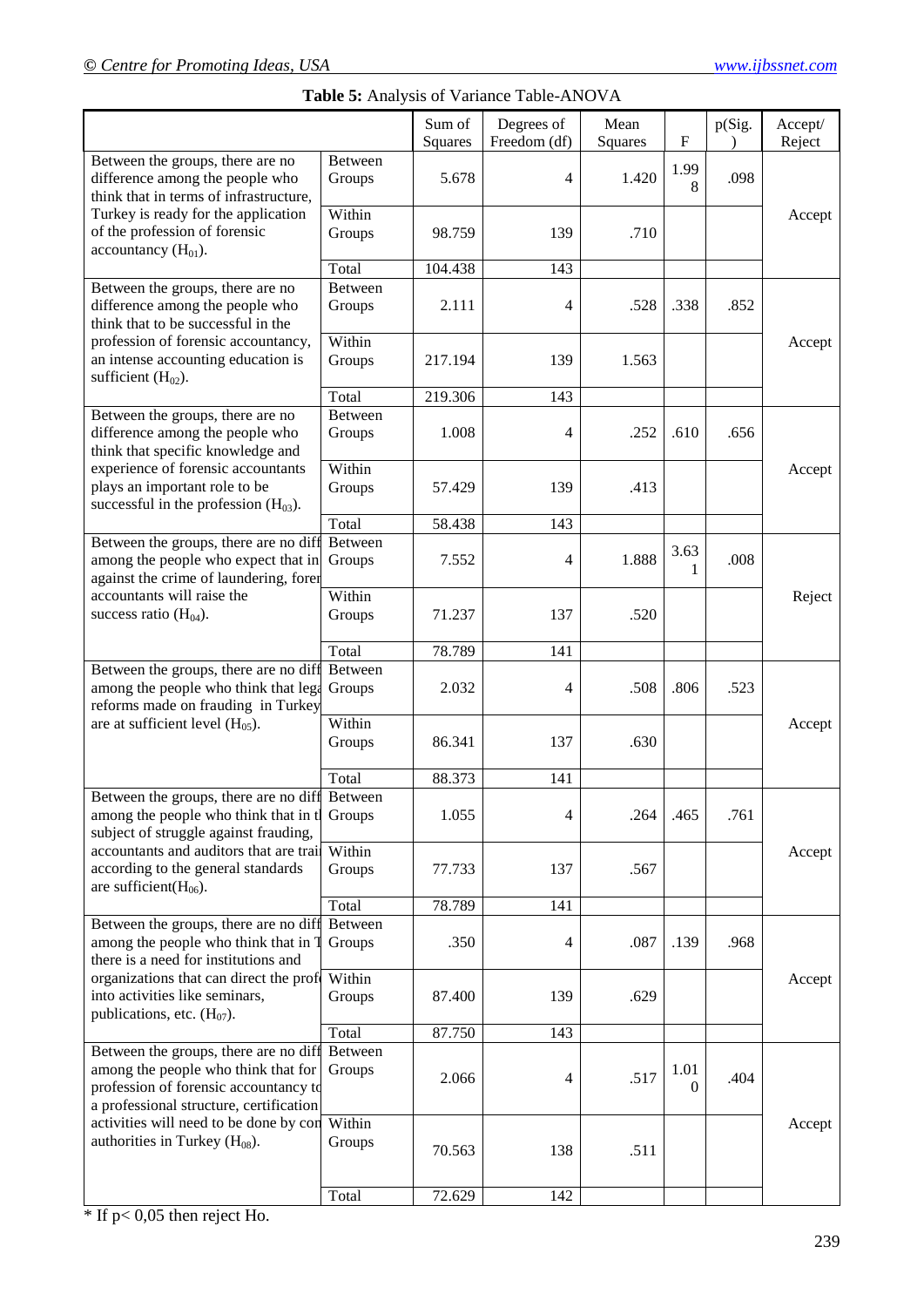|                                                                                                                                                                          |                          |                   | Table 5: Analysis of Variance Table-ANOVA |                 |                           |        |                   |
|--------------------------------------------------------------------------------------------------------------------------------------------------------------------------|--------------------------|-------------------|-------------------------------------------|-----------------|---------------------------|--------|-------------------|
|                                                                                                                                                                          |                          | Sum of<br>Squares | Degrees of<br>Freedom (df)                | Mean<br>Squares | $\boldsymbol{\mathrm{F}}$ | p(Sig. | Accept/<br>Reject |
| Between the groups, there are no<br>difference among the people who<br>think that in terms of infrastructure,                                                            | <b>Between</b><br>Groups | 5.678             | 4                                         | 1.420           | 1.99<br>8                 | .098   |                   |
| Turkey is ready for the application<br>of the profession of forensic<br>accountancy $(H01)$ .                                                                            | Within<br>Groups         | 98.759            | 139                                       | .710            |                           |        | Accept            |
|                                                                                                                                                                          | Total                    | 104.438           | 143                                       |                 |                           |        |                   |
| Between the groups, there are no<br>difference among the people who<br>think that to be successful in the                                                                | Between<br>Groups        | 2.111             | 4                                         | .528            | .338                      | .852   |                   |
| profession of forensic accountancy,<br>an intense accounting education is<br>sufficient $(H02)$ .                                                                        | Within<br>Groups         | 217.194           | 139                                       | 1.563           |                           |        | Accept            |
|                                                                                                                                                                          | Total                    | 219.306           | 143                                       |                 |                           |        |                   |
| Between the groups, there are no<br>difference among the people who<br>think that specific knowledge and                                                                 | Between<br>Groups        | 1.008             | 4                                         | .252            | .610                      | .656   |                   |
| experience of forensic accountants<br>plays an important role to be<br>successful in the profession $(H03)$ .                                                            | Within<br>Groups         | 57.429            | 139                                       | .413            |                           |        | Accept            |
|                                                                                                                                                                          | Total                    | 58.438            | 143                                       |                 |                           |        |                   |
| Between the groups, there are no diff<br>among the people who expect that in<br>against the crime of laundering, forer                                                   | Between<br>Groups        | 7.552             | 4                                         | 1.888           | 3.63<br>1                 | .008   |                   |
| accountants will raise the<br>success ratio $(H04)$ .                                                                                                                    | Within<br>Groups         | 71.237            | 137                                       | .520            |                           |        | Reject            |
|                                                                                                                                                                          | Total                    | 78.789            | 141                                       |                 |                           |        |                   |
| Between the groups, there are no diff<br>among the people who think that lega<br>reforms made on frauding in Turkey                                                      | Between<br>Groups        | 2.032             | 4                                         | .508            | .806                      | .523   |                   |
| are at sufficient level $(H_{05})$ .                                                                                                                                     | Within<br>Groups         | 86.341            | 137                                       | .630            |                           |        | Accept            |
|                                                                                                                                                                          | Total                    | 88.373            | 141                                       |                 |                           |        |                   |
| Between the groups, there are no diff<br>among the people who think that in t<br>subject of struggle against frauding,                                                   | Between<br>Groups        | 1.055             | 4                                         | .264            | .465                      | .761   |                   |
| accountants and auditors that are train<br>according to the general standards<br>are sufficient( $H_{06}$ ).                                                             | Within<br>Groups         | 77.733            | 137                                       | .567            |                           |        | Accept            |
|                                                                                                                                                                          | Total                    | 78.789            | 141                                       |                 |                           |        |                   |
| Between the groups, there are no diff<br>among the people who think that in T<br>there is a need for institutions and                                                    | Between<br>Groups        | .350              | 4                                         | .087            | .139                      | .968   |                   |
| organizations that can direct the profe Within<br>into activities like seminars,<br>publications, etc. $(H07)$ .                                                         | Groups                   | 87.400            | 139                                       | .629            |                           |        | Accept            |
|                                                                                                                                                                          | Total                    | 87.750            | 143                                       |                 |                           |        |                   |
| Between the groups, there are no diff Between<br>among the people who think that for<br>profession of forensic accountancy to<br>a professional structure, certification | Groups                   | 2.066             | 4                                         | .517            | 1.01<br>0                 | .404   |                   |
| activities will need to be done by con<br>authorities in Turkey $(H_{08})$ .                                                                                             | Within<br>Groups         | 70.563            | 138                                       | .511            |                           |        | Accept            |
|                                                                                                                                                                          | Total                    | 72.629            | 142                                       |                 |                           |        |                   |

 $*$  If p< 0,05 then reject Ho.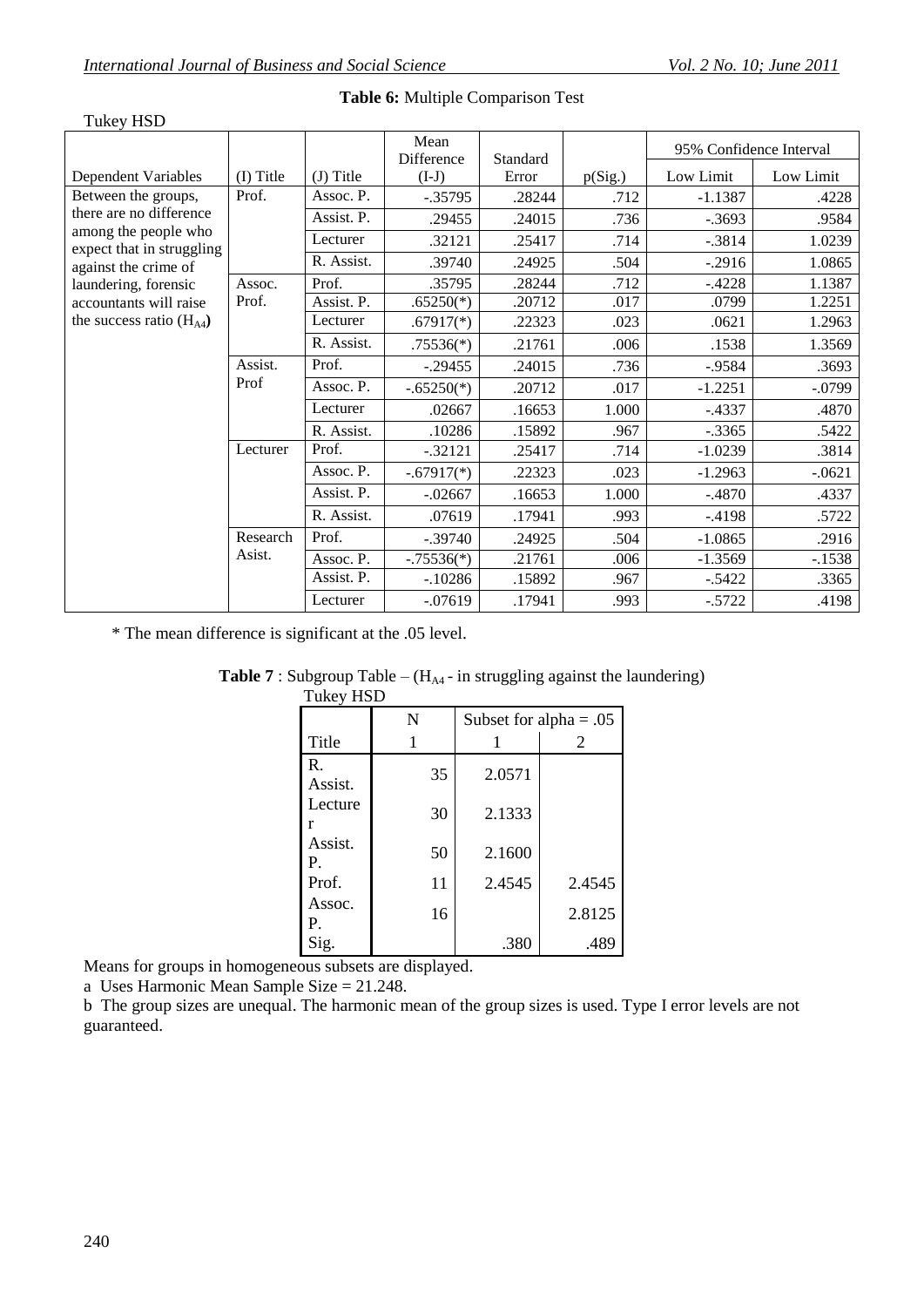| <b>Tukey HSD</b>                                  |                 |             |                    |          |         |                         |           |
|---------------------------------------------------|-----------------|-------------|--------------------|----------|---------|-------------------------|-----------|
|                                                   |                 |             | Mean<br>Difference | Standard |         | 95% Confidence Interval |           |
| <b>Dependent Variables</b>                        | (I) Title       | $(J)$ Title | $(I-J)$            | Error    | p(Sig.) | Low Limit               | Low Limit |
| Between the groups,                               | Prof.           | Assoc. P.   | $-.35795$          | .28244   | .712    | $-1.1387$               | .4228     |
| there are no difference                           |                 | Assist. P.  | .29455             | .24015   | .736    | $-.3693$                | .9584     |
| among the people who<br>expect that in struggling |                 | Lecturer    | .32121             | .25417   | .714    | $-.3814$                | 1.0239    |
| against the crime of                              |                 | R. Assist.  | .39740             | .24925   | .504    | $-.2916$                | 1.0865    |
| laundering, forensic                              | Assoc.          | Prof.       | .35795             | .28244   | .712    | $-.4228$                | 1.1387    |
| accountants will raise                            | Prof.           | Assist. P.  | $.65250(*)$        | .20712   | .017    | .0799                   | 1.2251    |
| the success ratio $(H_{A4})$                      |                 | Lecturer    | $.67917(*)$        | .22323   | .023    | .0621                   | 1.2963    |
|                                                   |                 | R. Assist.  | $.75536(*)$        | .21761   | .006    | .1538                   | 1.3569    |
|                                                   | Assist.<br>Prof | Prof.       | $-.29455$          | .24015   | .736    | $-0.9584$               | .3693     |
|                                                   |                 | Assoc. P.   | $-.65250(*)$       | .20712   | .017    | $-1.2251$               | $-.0799$  |
|                                                   |                 | Lecturer    | .02667             | .16653   | 1.000   | $-.4337$                | .4870     |
|                                                   |                 | R. Assist.  | .10286             | .15892   | .967    | $-.3365$                | .5422     |
|                                                   | Lecturer        | Prof.       | $-.32121$          | .25417   | .714    | $-1.0239$               | .3814     |
|                                                   |                 | Assoc. P.   | $-.67917(*)$       | .22323   | .023    | $-1.2963$               | $-.0621$  |
|                                                   |                 | Assist. P.  | $-.02667$          | .16653   | 1.000   | $-.4870$                | .4337     |
|                                                   |                 | R. Assist.  | .07619             | .17941   | .993    | $-.4198$                | .5722     |
|                                                   | Research        | Prof.       | $-.39740$          | .24925   | .504    | $-1.0865$               | .2916     |
|                                                   | Asist.          | Assoc. P.   | $-.75536(*)$       | .21761   | .006    | $-1.3569$               | $-1538$   |
|                                                   |                 | Assist. P.  | $-.10286$          | .15892   | .967    | $-.5422$                | .3365     |
|                                                   |                 | Lecturer    | $-.07619$          | .17941   | .993    | $-.5722$                | .4198     |

### **Table 6:** Multiple Comparison Test

\* The mean difference is significant at the .05 level.

| I UKEY HSD    |    |                          |        |  |  |
|---------------|----|--------------------------|--------|--|--|
|               | N  | Subset for alpha = $.05$ |        |  |  |
| Title         |    |                          | 2      |  |  |
| R.<br>Assist. | 35 | 2.0571                   |        |  |  |
| Lecture<br>r  | 30 | 2.1333                   |        |  |  |
| Assist.<br>P. | 50 | 2.1600                   |        |  |  |
| Prof.         | 11 | 2.4545                   | 2.4545 |  |  |
| Assoc.<br>Р.  | 16 |                          | 2.8125 |  |  |
| Sig.          |    | .380                     | .489   |  |  |

#### **Table 7** : Subgroup Table –  $(H_{A4} - in \text{ struggling against the launchering})$  $\overline{\text{Tr}}$

Means for groups in homogeneous subsets are displayed.

a Uses Harmonic Mean Sample Size = 21.248.

b The group sizes are unequal. The harmonic mean of the group sizes is used. Type I error levels are not guaranteed.